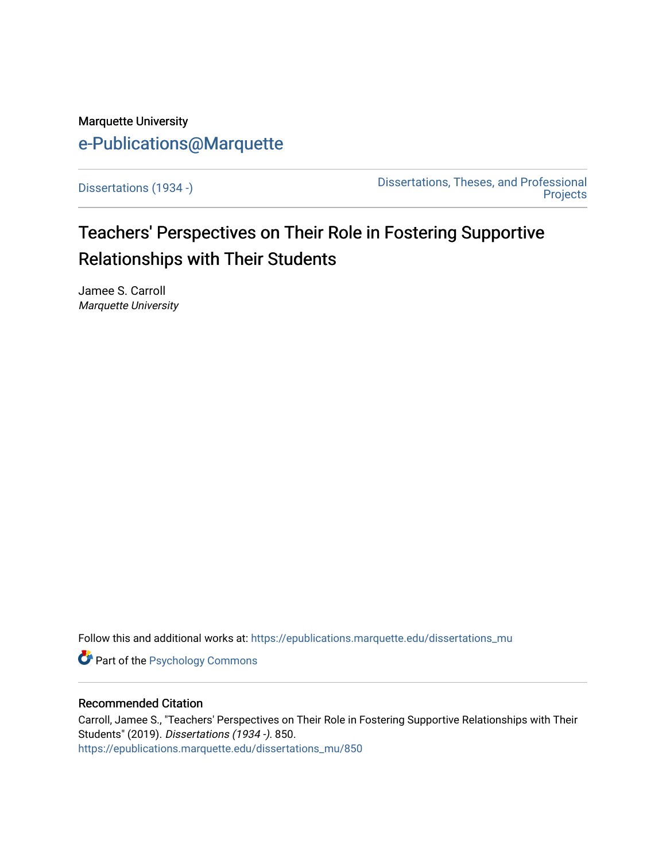## Marquette University [e-Publications@Marquette](https://epublications.marquette.edu/)

[Dissertations \(1934 -\)](https://epublications.marquette.edu/dissertations_mu) [Dissertations, Theses, and Professional](https://epublications.marquette.edu/diss_theses)  [Projects](https://epublications.marquette.edu/diss_theses) 

# Teachers' Perspectives on Their Role in Fostering Supportive Relationships with Their Students

Jamee S. Carroll Marquette University

Follow this and additional works at: [https://epublications.marquette.edu/dissertations\\_mu](https://epublications.marquette.edu/dissertations_mu?utm_source=epublications.marquette.edu%2Fdissertations_mu%2F850&utm_medium=PDF&utm_campaign=PDFCoverPages)

**Part of the Psychology Commons** 

#### Recommended Citation

Carroll, Jamee S., "Teachers' Perspectives on Their Role in Fostering Supportive Relationships with Their Students" (2019). Dissertations (1934 -). 850. [https://epublications.marquette.edu/dissertations\\_mu/850](https://epublications.marquette.edu/dissertations_mu/850?utm_source=epublications.marquette.edu%2Fdissertations_mu%2F850&utm_medium=PDF&utm_campaign=PDFCoverPages)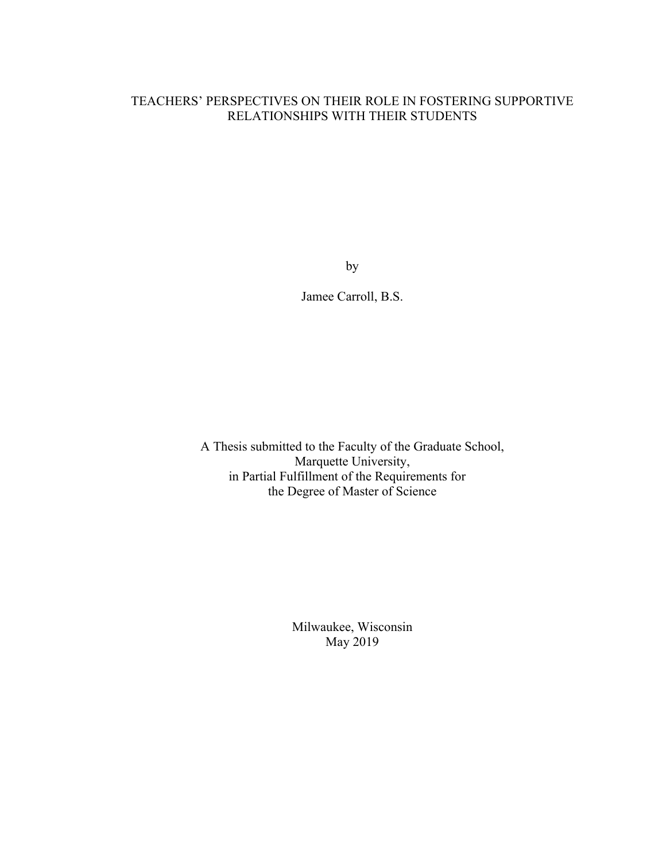## TEACHERS' PERSPECTIVES ON THEIR ROLE IN FOSTERING SUPPORTIVE RELATIONSHIPS WITH THEIR STUDENTS

by

Jamee Carroll, B.S.

A Thesis submitted to the Faculty of the Graduate School, Marquette University, in Partial Fulfillment of the Requirements for the Degree of Master of Science

> Milwaukee, Wisconsin May 2019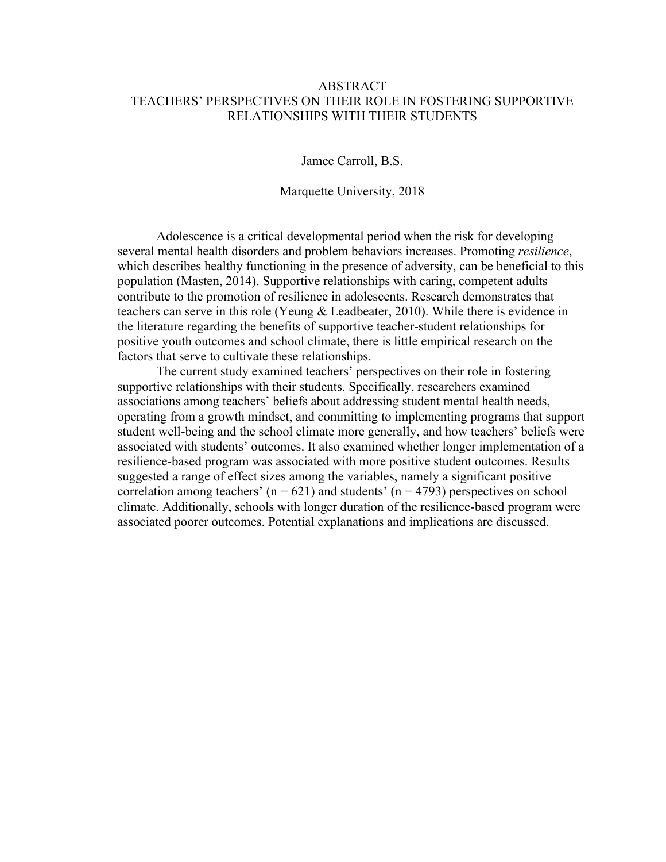## ABSTRACT TEACHERS' PERSPECTIVES ON THEIR ROLE IN FOSTERING SUPPORTIVE RELATIONSHIPS WITH THEIR STUDENTS

Jamee Carroll, B.S.

Marquette University, 2018

Adolescence is a critical developmental period when the risk for developing several mental health disorders and problem behaviors increases. Promoting *resilience*, which describes healthy functioning in the presence of adversity, can be beneficial to this population (Masten, 2014). Supportive relationships with caring, competent adults contribute to the promotion of resilience in adolescents. Research demonstrates that teachers can serve in this role (Yeung & Leadbeater, 2010). While there is evidence in the literature regarding the benefits of supportive teacher-student relationships for positive youth outcomes and school climate, there is little empirical research on the factors that serve to cultivate these relationships.

The current study examined teachers' perspectives on their role in fostering supportive relationships with their students. Specifically, researchers examined associations among teachers' beliefs about addressing student mental health needs, operating from a growth mindset, and committing to implementing programs that support student well-being and the school climate more generally, and how teachers' beliefs were associated with students' outcomes. It also examined whether longer implementation of a resilience-based program was associated with more positive student outcomes. Results suggested a range of effect sizes among the variables, namely a significant positive correlation among teachers' ( $n = 621$ ) and students' ( $n = 4793$ ) perspectives on school climate. Additionally, schools with longer duration of the resilience-based program were associated poorer outcomes. Potential explanations and implications are discussed.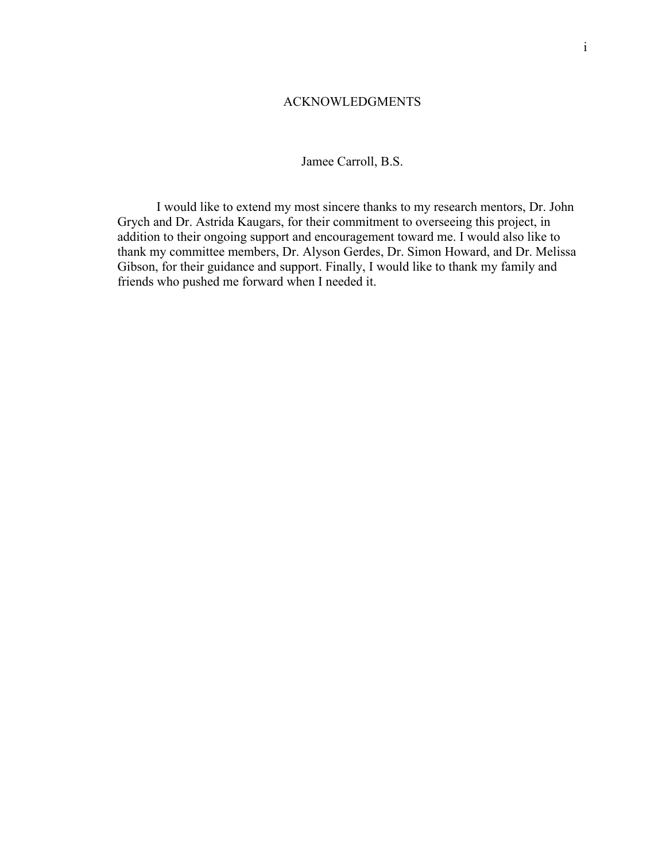#### ACKNOWLEDGMENTS

## Jamee Carroll, B.S.

I would like to extend my most sincere thanks to my research mentors, Dr. John Grych and Dr. Astrida Kaugars, for their commitment to overseeing this project, in addition to their ongoing support and encouragement toward me. I would also like to thank my committee members, Dr. Alyson Gerdes, Dr. Simon Howard, and Dr. Melissa Gibson, for their guidance and support. Finally, I would like to thank my family and friends who pushed me forward when I needed it.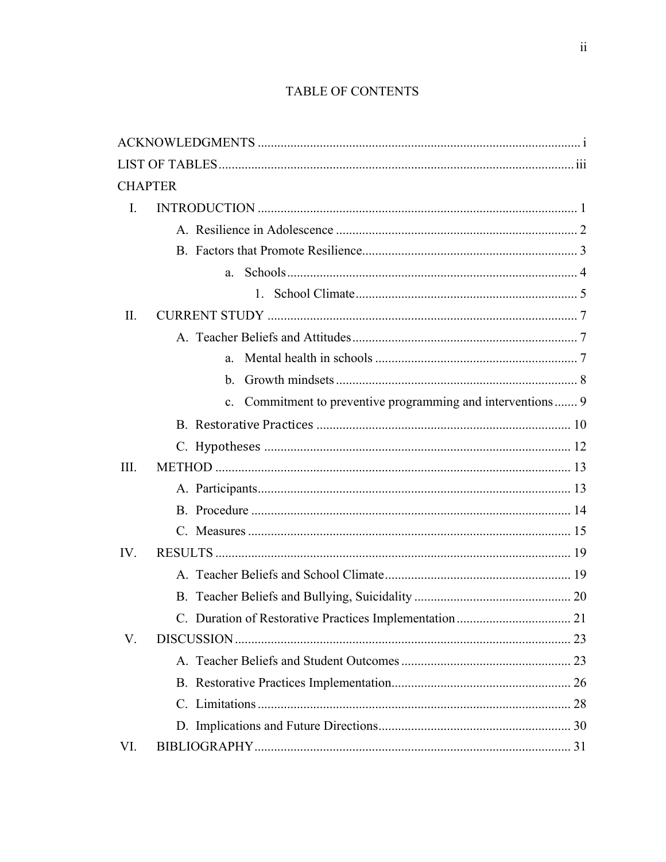## TABLE OF CONTENTS

| <b>CHAPTER</b> |    |  |
|----------------|----|--|
| $\mathbf{I}$ . |    |  |
|                |    |  |
|                |    |  |
|                |    |  |
|                |    |  |
| II.            |    |  |
|                |    |  |
|                |    |  |
|                | b. |  |
|                |    |  |
|                |    |  |
|                |    |  |
| III.           |    |  |
|                |    |  |
|                |    |  |
|                |    |  |
| IV.            |    |  |
|                |    |  |
|                |    |  |
|                |    |  |
| V.             |    |  |
|                |    |  |
|                |    |  |
|                |    |  |
|                |    |  |
| VI.            |    |  |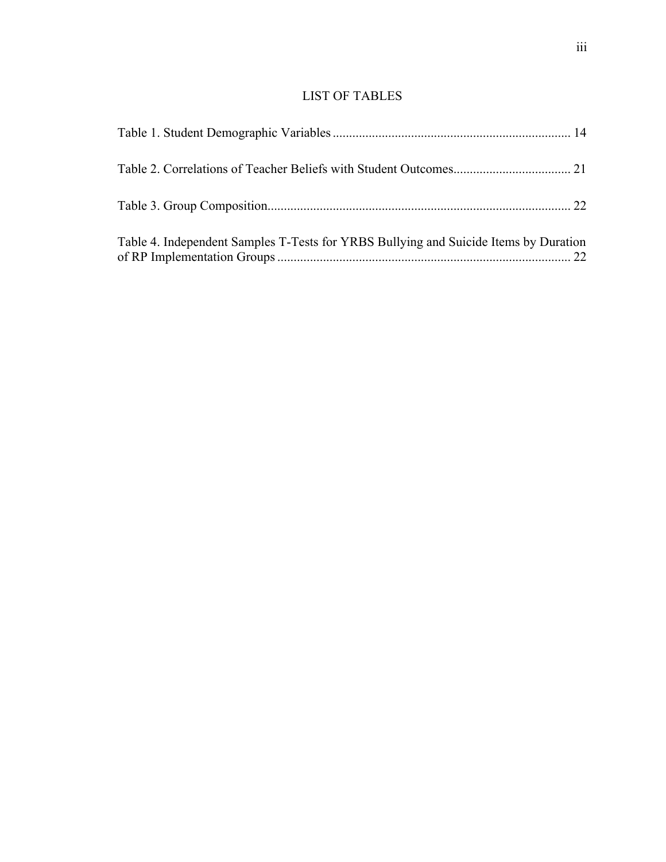## LIST OF TABLES

| Table 4. Independent Samples T-Tests for YRBS Bullying and Suicide Items by Duration |  |
|--------------------------------------------------------------------------------------|--|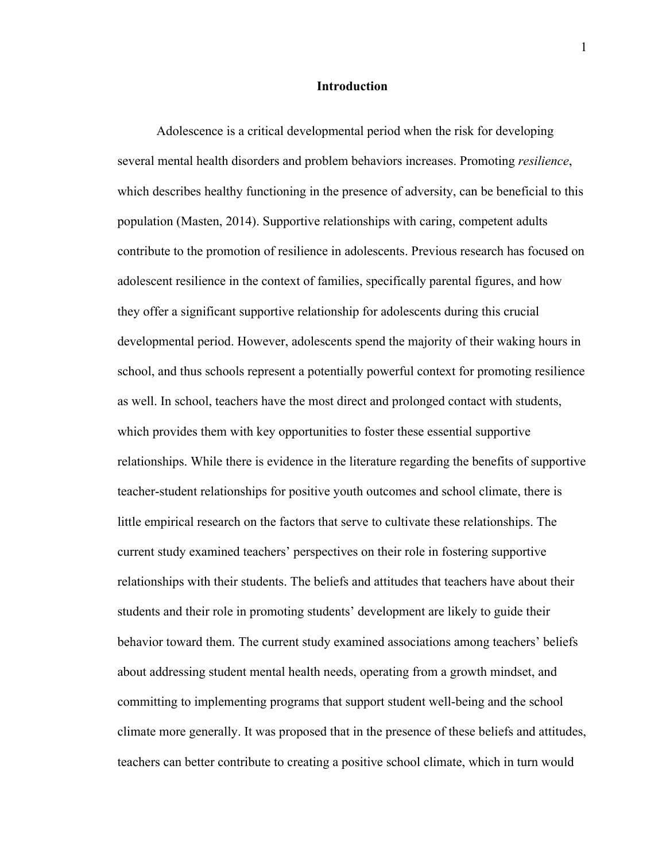#### **Introduction**

Adolescence is a critical developmental period when the risk for developing several mental health disorders and problem behaviors increases. Promoting *resilience*, which describes healthy functioning in the presence of adversity, can be beneficial to this population (Masten, 2014). Supportive relationships with caring, competent adults contribute to the promotion of resilience in adolescents. Previous research has focused on adolescent resilience in the context of families, specifically parental figures, and how they offer a significant supportive relationship for adolescents during this crucial developmental period. However, adolescents spend the majority of their waking hours in school, and thus schools represent a potentially powerful context for promoting resilience as well. In school, teachers have the most direct and prolonged contact with students, which provides them with key opportunities to foster these essential supportive relationships. While there is evidence in the literature regarding the benefits of supportive teacher-student relationships for positive youth outcomes and school climate, there is little empirical research on the factors that serve to cultivate these relationships. The current study examined teachers' perspectives on their role in fostering supportive relationships with their students. The beliefs and attitudes that teachers have about their students and their role in promoting students' development are likely to guide their behavior toward them. The current study examined associations among teachers' beliefs about addressing student mental health needs, operating from a growth mindset, and committing to implementing programs that support student well-being and the school climate more generally. It was proposed that in the presence of these beliefs and attitudes, teachers can better contribute to creating a positive school climate, which in turn would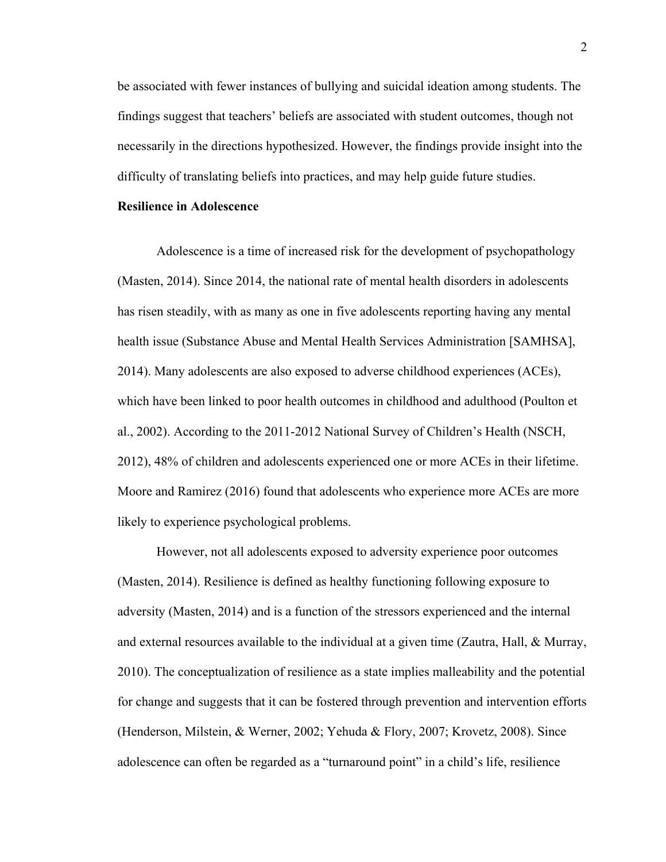be associated with fewer instances of bullying and suicidal ideation among students. The findings suggest that teachers' beliefs are associated with student outcomes, though not necessarily in the directions hypothesized. However, the findings provide insight into the difficulty of translating beliefs into practices, and may help guide future studies.

#### **Resilience in Adolescence**

Adolescence is a time of increased risk for the development of psychopathology (Masten, 2014). Since 2014, the national rate of mental health disorders in adolescents has risen steadily, with as many as one in five adolescents reporting having any mental health issue (Substance Abuse and Mental Health Services Administration [SAMHSA], 2014). Many adolescents are also exposed to adverse childhood experiences (ACEs), which have been linked to poor health outcomes in childhood and adulthood (Poulton et al., 2002). According to the 2011-2012 National Survey of Children's Health (NSCH, 2012), 48% of children and adolescents experienced one or more ACEs in their lifetime. Moore and Ramirez (2016) found that adolescents who experience more ACEs are more likely to experience psychological problems.

However, not all adolescents exposed to adversity experience poor outcomes (Masten, 2014). Resilience is defined as healthy functioning following exposure to adversity (Masten, 2014) and is a function of the stressors experienced and the internal and external resources available to the individual at a given time (Zautra, Hall, & Murray, 2010). The conceptualization of resilience as a state implies malleability and the potential for change and suggests that it can be fostered through prevention and intervention efforts (Henderson, Milstein, & Werner, 2002; Yehuda & Flory, 2007; Krovetz, 2008). Since adolescence can often be regarded as a "turnaround point" in a child's life, resilience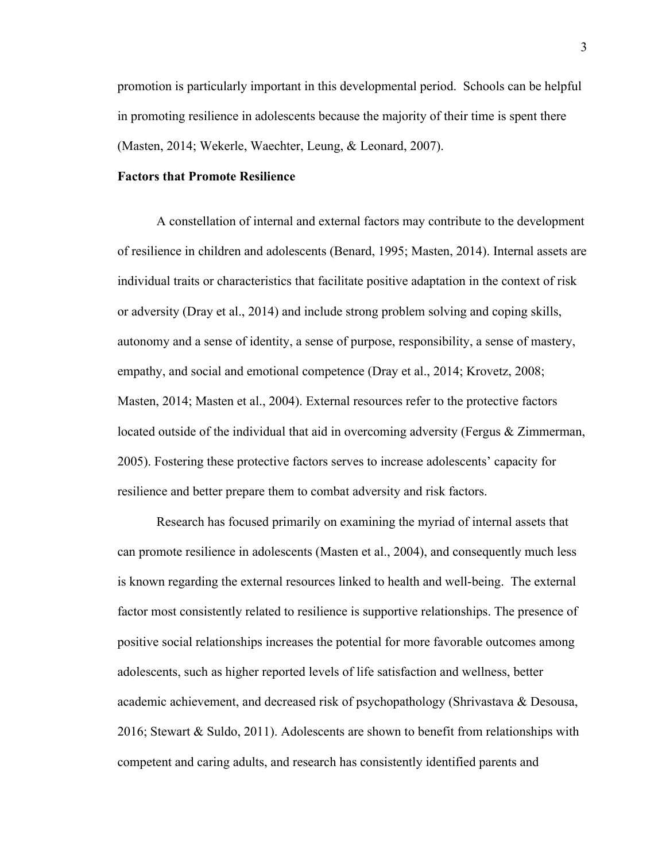promotion is particularly important in this developmental period. Schools can be helpful in promoting resilience in adolescents because the majority of their time is spent there (Masten, 2014; Wekerle, Waechter, Leung, & Leonard, 2007).

#### **Factors that Promote Resilience**

A constellation of internal and external factors may contribute to the development of resilience in children and adolescents (Benard, 1995; Masten, 2014). Internal assets are individual traits or characteristics that facilitate positive adaptation in the context of risk or adversity (Dray et al., 2014) and include strong problem solving and coping skills, autonomy and a sense of identity, a sense of purpose, responsibility, a sense of mastery, empathy, and social and emotional competence (Dray et al., 2014; Krovetz, 2008; Masten, 2014; Masten et al., 2004). External resources refer to the protective factors located outside of the individual that aid in overcoming adversity (Fergus & Zimmerman, 2005). Fostering these protective factors serves to increase adolescents' capacity for resilience and better prepare them to combat adversity and risk factors.

Research has focused primarily on examining the myriad of internal assets that can promote resilience in adolescents (Masten et al., 2004), and consequently much less is known regarding the external resources linked to health and well-being. The external factor most consistently related to resilience is supportive relationships. The presence of positive social relationships increases the potential for more favorable outcomes among adolescents, such as higher reported levels of life satisfaction and wellness, better academic achievement, and decreased risk of psychopathology (Shrivastava & Desousa, 2016; Stewart & Suldo, 2011). Adolescents are shown to benefit from relationships with competent and caring adults, and research has consistently identified parents and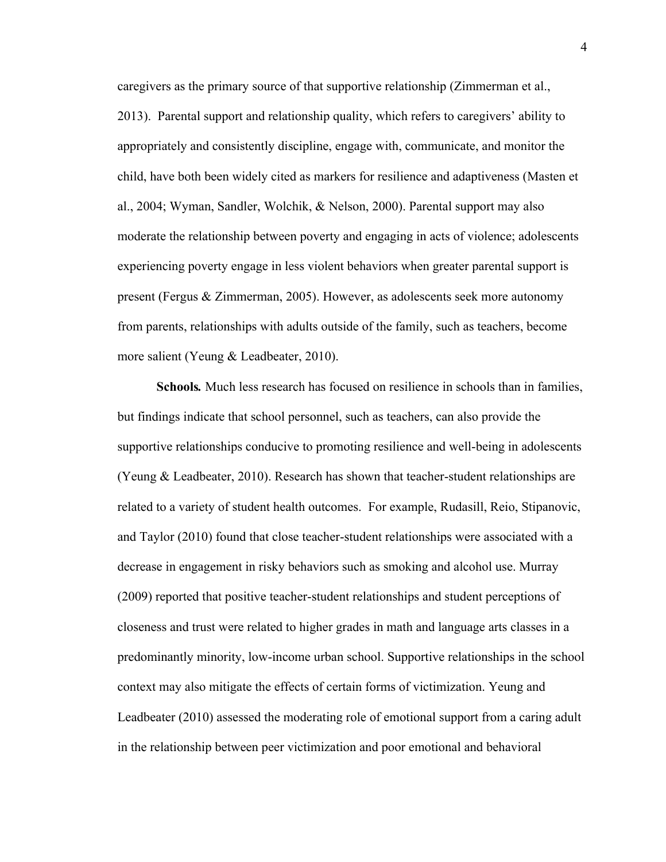caregivers as the primary source of that supportive relationship (Zimmerman et al., 2013). Parental support and relationship quality, which refers to caregivers' ability to appropriately and consistently discipline, engage with, communicate, and monitor the child, have both been widely cited as markers for resilience and adaptiveness (Masten et al., 2004; Wyman, Sandler, Wolchik, & Nelson, 2000). Parental support may also moderate the relationship between poverty and engaging in acts of violence; adolescents experiencing poverty engage in less violent behaviors when greater parental support is present (Fergus & Zimmerman, 2005). However, as adolescents seek more autonomy from parents, relationships with adults outside of the family, such as teachers, become more salient (Yeung & Leadbeater, 2010).

**Schools***.* Much less research has focused on resilience in schools than in families, but findings indicate that school personnel, such as teachers, can also provide the supportive relationships conducive to promoting resilience and well-being in adolescents (Yeung & Leadbeater, 2010). Research has shown that teacher-student relationships are related to a variety of student health outcomes. For example, Rudasill, Reio, Stipanovic, and Taylor (2010) found that close teacher-student relationships were associated with a decrease in engagement in risky behaviors such as smoking and alcohol use. Murray (2009) reported that positive teacher-student relationships and student perceptions of closeness and trust were related to higher grades in math and language arts classes in a predominantly minority, low-income urban school. Supportive relationships in the school context may also mitigate the effects of certain forms of victimization. Yeung and Leadbeater (2010) assessed the moderating role of emotional support from a caring adult in the relationship between peer victimization and poor emotional and behavioral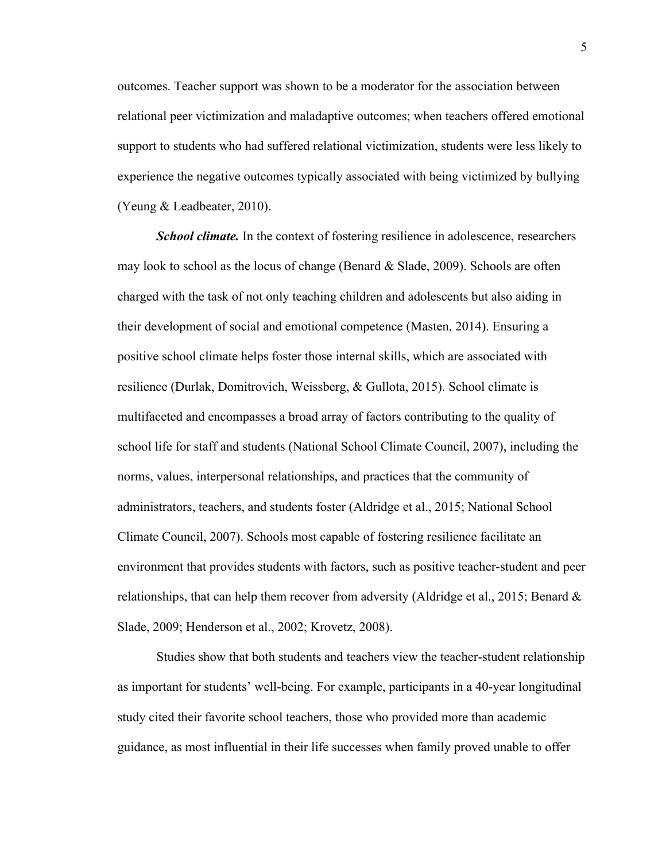outcomes. Teacher support was shown to be a moderator for the association between relational peer victimization and maladaptive outcomes; when teachers offered emotional support to students who had suffered relational victimization, students were less likely to experience the negative outcomes typically associated with being victimized by bullying (Yeung & Leadbeater, 2010).

*School climate.* In the context of fostering resilience in adolescence, researchers may look to school as the locus of change (Benard  $\&$  Slade, 2009). Schools are often charged with the task of not only teaching children and adolescents but also aiding in their development of social and emotional competence (Masten, 2014). Ensuring a positive school climate helps foster those internal skills, which are associated with resilience (Durlak, Domitrovich, Weissberg, & Gullota, 2015). School climate is multifaceted and encompasses a broad array of factors contributing to the quality of school life for staff and students (National School Climate Council, 2007), including the norms, values, interpersonal relationships, and practices that the community of administrators, teachers, and students foster (Aldridge et al., 2015; National School Climate Council, 2007). Schools most capable of fostering resilience facilitate an environment that provides students with factors, such as positive teacher-student and peer relationships, that can help them recover from adversity (Aldridge et al., 2015; Benard  $\&$ Slade, 2009; Henderson et al., 2002; Krovetz, 2008).

Studies show that both students and teachers view the teacher-student relationship as important for students' well-being. For example, participants in a 40-year longitudinal study cited their favorite school teachers, those who provided more than academic guidance, as most influential in their life successes when family proved unable to offer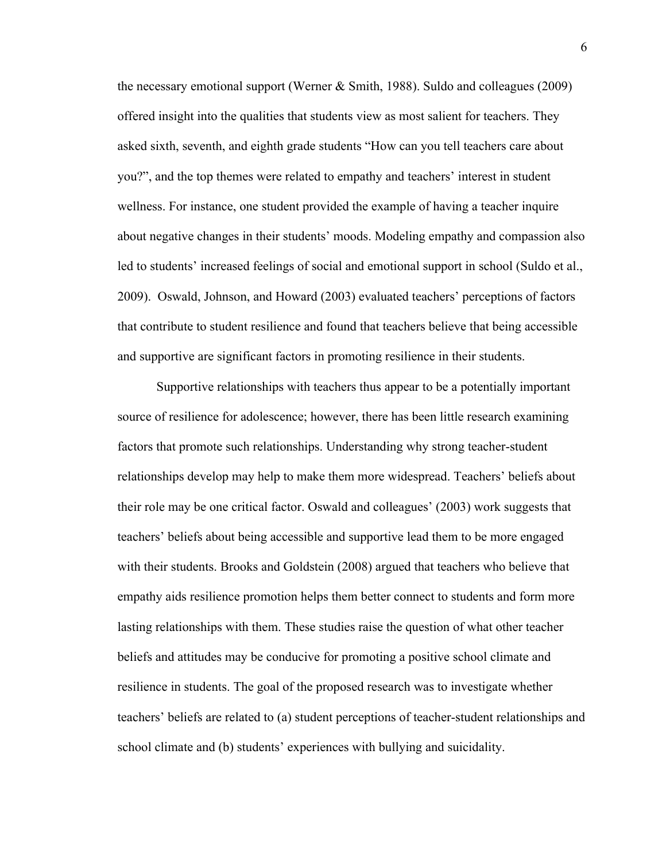the necessary emotional support (Werner  $\&$  Smith, 1988). Suldo and colleagues (2009) offered insight into the qualities that students view as most salient for teachers. They asked sixth, seventh, and eighth grade students "How can you tell teachers care about you?", and the top themes were related to empathy and teachers' interest in student wellness. For instance, one student provided the example of having a teacher inquire about negative changes in their students' moods. Modeling empathy and compassion also led to students' increased feelings of social and emotional support in school (Suldo et al., 2009). Oswald, Johnson, and Howard (2003) evaluated teachers' perceptions of factors that contribute to student resilience and found that teachers believe that being accessible and supportive are significant factors in promoting resilience in their students.

Supportive relationships with teachers thus appear to be a potentially important source of resilience for adolescence; however, there has been little research examining factors that promote such relationships. Understanding why strong teacher-student relationships develop may help to make them more widespread. Teachers' beliefs about their role may be one critical factor. Oswald and colleagues' (2003) work suggests that teachers' beliefs about being accessible and supportive lead them to be more engaged with their students. Brooks and Goldstein (2008) argued that teachers who believe that empathy aids resilience promotion helps them better connect to students and form more lasting relationships with them. These studies raise the question of what other teacher beliefs and attitudes may be conducive for promoting a positive school climate and resilience in students. The goal of the proposed research was to investigate whether teachers' beliefs are related to (a) student perceptions of teacher-student relationships and school climate and (b) students' experiences with bullying and suicidality.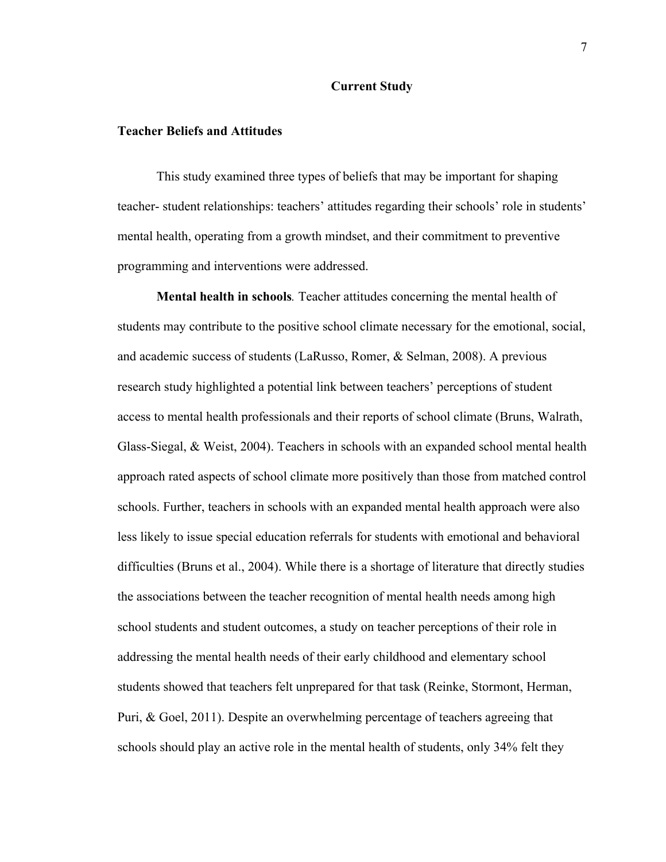#### **Current Study**

#### **Teacher Beliefs and Attitudes**

This study examined three types of beliefs that may be important for shaping teacher- student relationships: teachers' attitudes regarding their schools' role in students' mental health, operating from a growth mindset, and their commitment to preventive programming and interventions were addressed.

**Mental health in schools***.* Teacher attitudes concerning the mental health of students may contribute to the positive school climate necessary for the emotional, social, and academic success of students (LaRusso, Romer, & Selman, 2008). A previous research study highlighted a potential link between teachers' perceptions of student access to mental health professionals and their reports of school climate (Bruns, Walrath, Glass-Siegal, & Weist, 2004). Teachers in schools with an expanded school mental health approach rated aspects of school climate more positively than those from matched control schools. Further, teachers in schools with an expanded mental health approach were also less likely to issue special education referrals for students with emotional and behavioral difficulties (Bruns et al., 2004). While there is a shortage of literature that directly studies the associations between the teacher recognition of mental health needs among high school students and student outcomes, a study on teacher perceptions of their role in addressing the mental health needs of their early childhood and elementary school students showed that teachers felt unprepared for that task (Reinke, Stormont, Herman, Puri, & Goel, 2011). Despite an overwhelming percentage of teachers agreeing that schools should play an active role in the mental health of students, only 34% felt they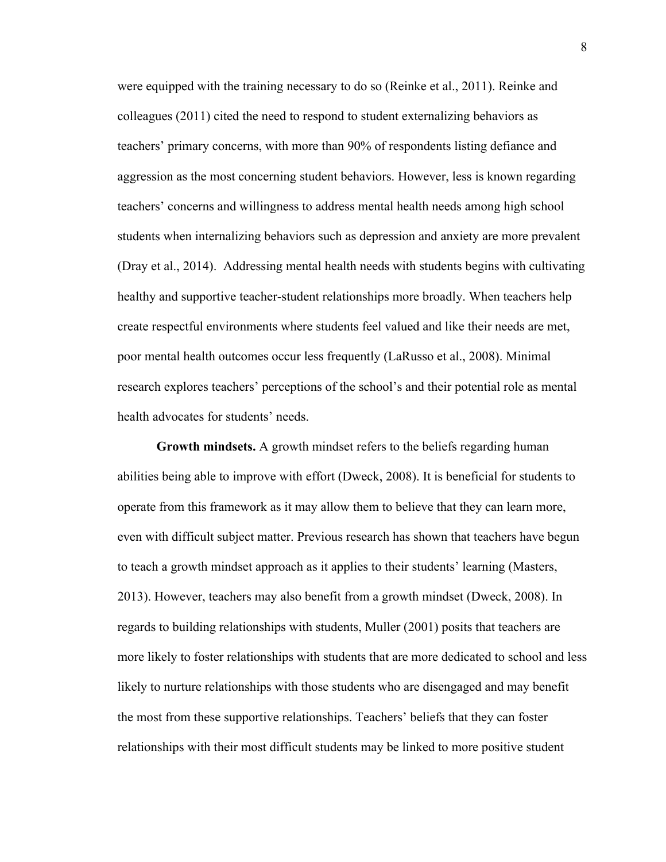were equipped with the training necessary to do so (Reinke et al., 2011). Reinke and colleagues (2011) cited the need to respond to student externalizing behaviors as teachers' primary concerns, with more than 90% of respondents listing defiance and aggression as the most concerning student behaviors. However, less is known regarding teachers' concerns and willingness to address mental health needs among high school students when internalizing behaviors such as depression and anxiety are more prevalent (Dray et al., 2014). Addressing mental health needs with students begins with cultivating healthy and supportive teacher-student relationships more broadly. When teachers help create respectful environments where students feel valued and like their needs are met, poor mental health outcomes occur less frequently (LaRusso et al., 2008). Minimal research explores teachers' perceptions of the school's and their potential role as mental health advocates for students' needs.

**Growth mindsets.** A growth mindset refers to the beliefs regarding human abilities being able to improve with effort (Dweck, 2008). It is beneficial for students to operate from this framework as it may allow them to believe that they can learn more, even with difficult subject matter. Previous research has shown that teachers have begun to teach a growth mindset approach as it applies to their students' learning (Masters, 2013). However, teachers may also benefit from a growth mindset (Dweck, 2008). In regards to building relationships with students, Muller (2001) posits that teachers are more likely to foster relationships with students that are more dedicated to school and less likely to nurture relationships with those students who are disengaged and may benefit the most from these supportive relationships. Teachers' beliefs that they can foster relationships with their most difficult students may be linked to more positive student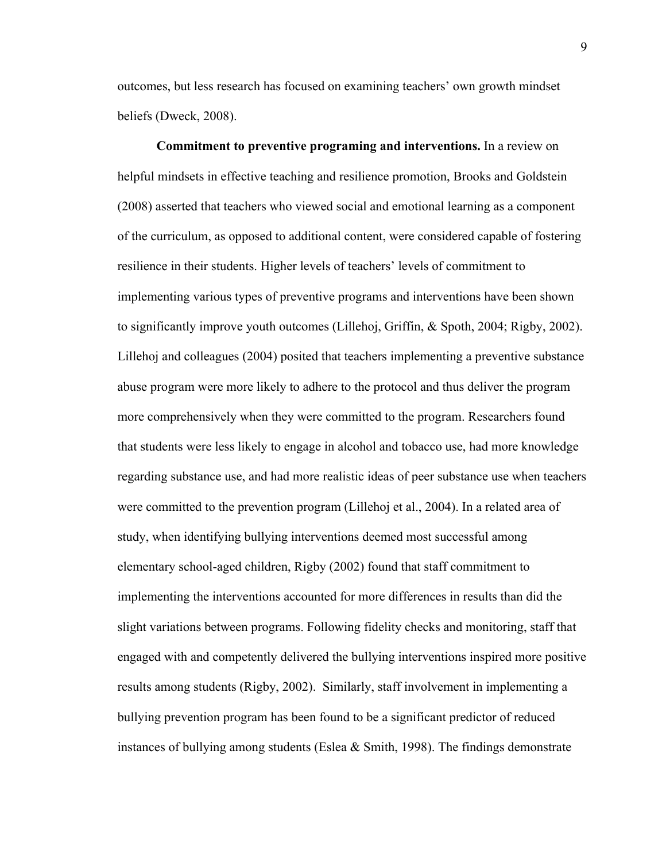outcomes, but less research has focused on examining teachers' own growth mindset beliefs (Dweck, 2008).

**Commitment to preventive programing and interventions.** In a review on helpful mindsets in effective teaching and resilience promotion, Brooks and Goldstein (2008) asserted that teachers who viewed social and emotional learning as a component of the curriculum, as opposed to additional content, were considered capable of fostering resilience in their students. Higher levels of teachers' levels of commitment to implementing various types of preventive programs and interventions have been shown to significantly improve youth outcomes (Lillehoj, Griffin, & Spoth, 2004; Rigby, 2002). Lillehoj and colleagues (2004) posited that teachers implementing a preventive substance abuse program were more likely to adhere to the protocol and thus deliver the program more comprehensively when they were committed to the program. Researchers found that students were less likely to engage in alcohol and tobacco use, had more knowledge regarding substance use, and had more realistic ideas of peer substance use when teachers were committed to the prevention program (Lillehoj et al., 2004). In a related area of study, when identifying bullying interventions deemed most successful among elementary school-aged children, Rigby (2002) found that staff commitment to implementing the interventions accounted for more differences in results than did the slight variations between programs. Following fidelity checks and monitoring, staff that engaged with and competently delivered the bullying interventions inspired more positive results among students (Rigby, 2002). Similarly, staff involvement in implementing a bullying prevention program has been found to be a significant predictor of reduced instances of bullying among students (Eslea & Smith, 1998). The findings demonstrate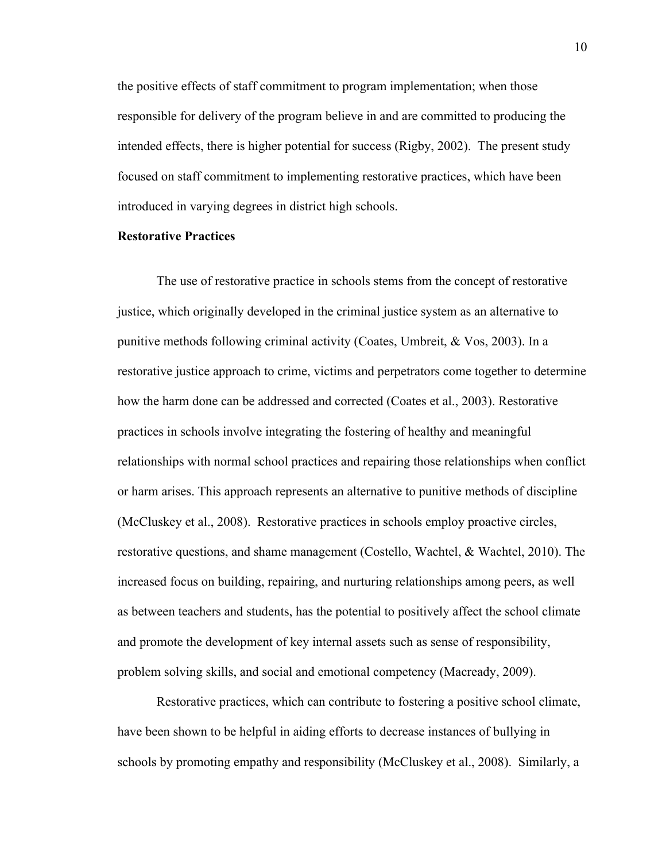the positive effects of staff commitment to program implementation; when those responsible for delivery of the program believe in and are committed to producing the intended effects, there is higher potential for success (Rigby, 2002). The present study focused on staff commitment to implementing restorative practices, which have been introduced in varying degrees in district high schools.

#### **Restorative Practices**

The use of restorative practice in schools stems from the concept of restorative justice, which originally developed in the criminal justice system as an alternative to punitive methods following criminal activity (Coates, Umbreit, & Vos, 2003). In a restorative justice approach to crime, victims and perpetrators come together to determine how the harm done can be addressed and corrected (Coates et al., 2003). Restorative practices in schools involve integrating the fostering of healthy and meaningful relationships with normal school practices and repairing those relationships when conflict or harm arises. This approach represents an alternative to punitive methods of discipline (McCluskey et al., 2008). Restorative practices in schools employ proactive circles, restorative questions, and shame management (Costello, Wachtel, & Wachtel, 2010). The increased focus on building, repairing, and nurturing relationships among peers, as well as between teachers and students, has the potential to positively affect the school climate and promote the development of key internal assets such as sense of responsibility, problem solving skills, and social and emotional competency (Macready, 2009).

Restorative practices, which can contribute to fostering a positive school climate, have been shown to be helpful in aiding efforts to decrease instances of bullying in schools by promoting empathy and responsibility (McCluskey et al., 2008). Similarly, a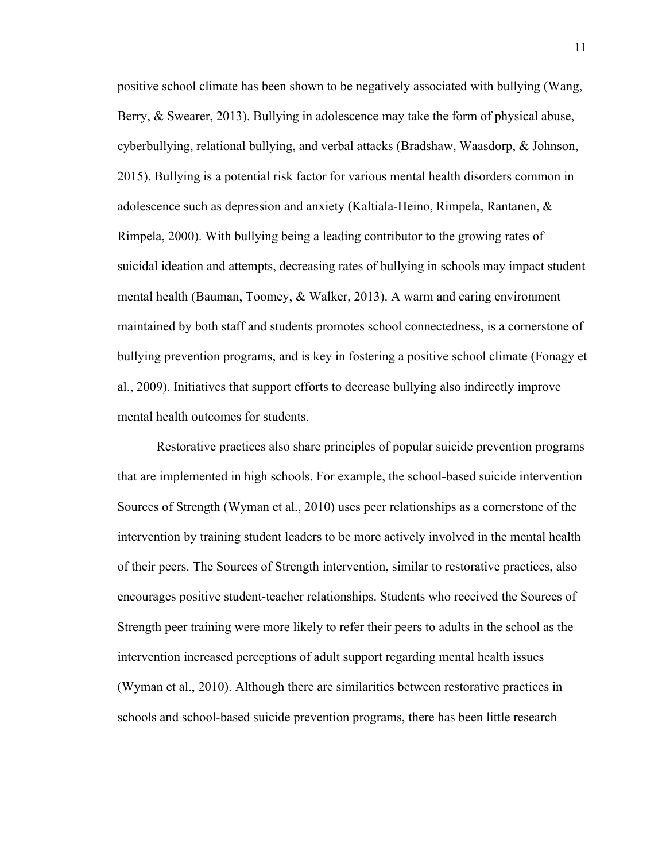positive school climate has been shown to be negatively associated with bullying (Wang, Berry, & Swearer, 2013). Bullying in adolescence may take the form of physical abuse, cyberbullying, relational bullying, and verbal attacks (Bradshaw, Waasdorp, & Johnson, 2015). Bullying is a potential risk factor for various mental health disorders common in adolescence such as depression and anxiety (Kaltiala-Heino, Rimpela, Rantanen, & Rimpela, 2000). With bullying being a leading contributor to the growing rates of suicidal ideation and attempts, decreasing rates of bullying in schools may impact student mental health (Bauman, Toomey, & Walker, 2013). A warm and caring environment maintained by both staff and students promotes school connectedness, is a cornerstone of bullying prevention programs, and is key in fostering a positive school climate (Fonagy et al., 2009). Initiatives that support efforts to decrease bullying also indirectly improve mental health outcomes for students.

Restorative practices also share principles of popular suicide prevention programs that are implemented in high schools. For example, the school-based suicide intervention Sources of Strength (Wyman et al., 2010) uses peer relationships as a cornerstone of the intervention by training student leaders to be more actively involved in the mental health of their peers. The Sources of Strength intervention, similar to restorative practices, also encourages positive student-teacher relationships. Students who received the Sources of Strength peer training were more likely to refer their peers to adults in the school as the intervention increased perceptions of adult support regarding mental health issues (Wyman et al., 2010). Although there are similarities between restorative practices in schools and school-based suicide prevention programs, there has been little research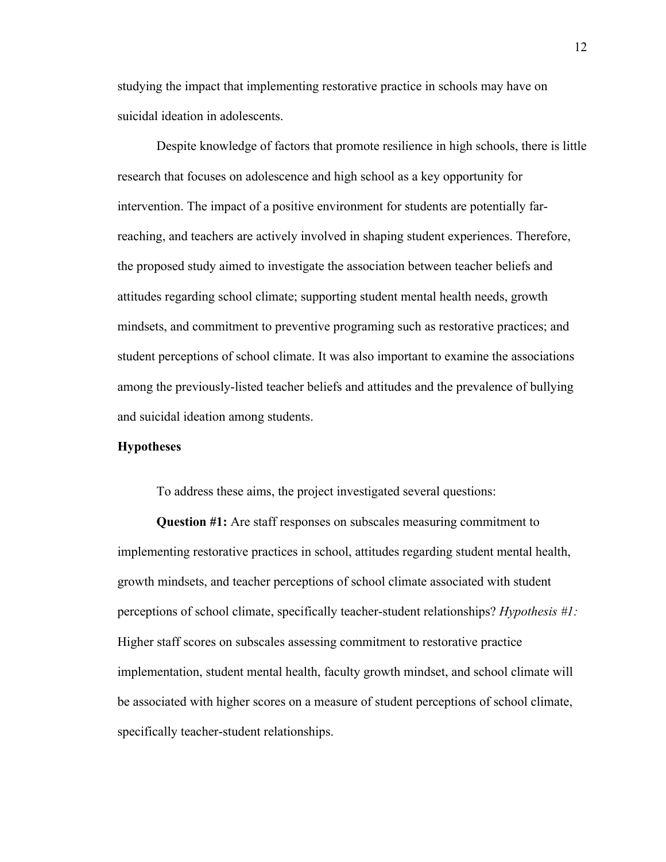studying the impact that implementing restorative practice in schools may have on suicidal ideation in adolescents.

Despite knowledge of factors that promote resilience in high schools, there is little research that focuses on adolescence and high school as a key opportunity for intervention. The impact of a positive environment for students are potentially farreaching, and teachers are actively involved in shaping student experiences. Therefore, the proposed study aimed to investigate the association between teacher beliefs and attitudes regarding school climate; supporting student mental health needs, growth mindsets, and commitment to preventive programing such as restorative practices; and student perceptions of school climate. It was also important to examine the associations among the previously-listed teacher beliefs and attitudes and the prevalence of bullying and suicidal ideation among students.

#### **Hypotheses**

To address these aims, the project investigated several questions:

**Question #1:** Are staff responses on subscales measuring commitment to implementing restorative practices in school, attitudes regarding student mental health, growth mindsets, and teacher perceptions of school climate associated with student perceptions of school climate, specifically teacher-student relationships? *Hypothesis #1:*  Higher staff scores on subscales assessing commitment to restorative practice implementation, student mental health, faculty growth mindset, and school climate will be associated with higher scores on a measure of student perceptions of school climate, specifically teacher-student relationships.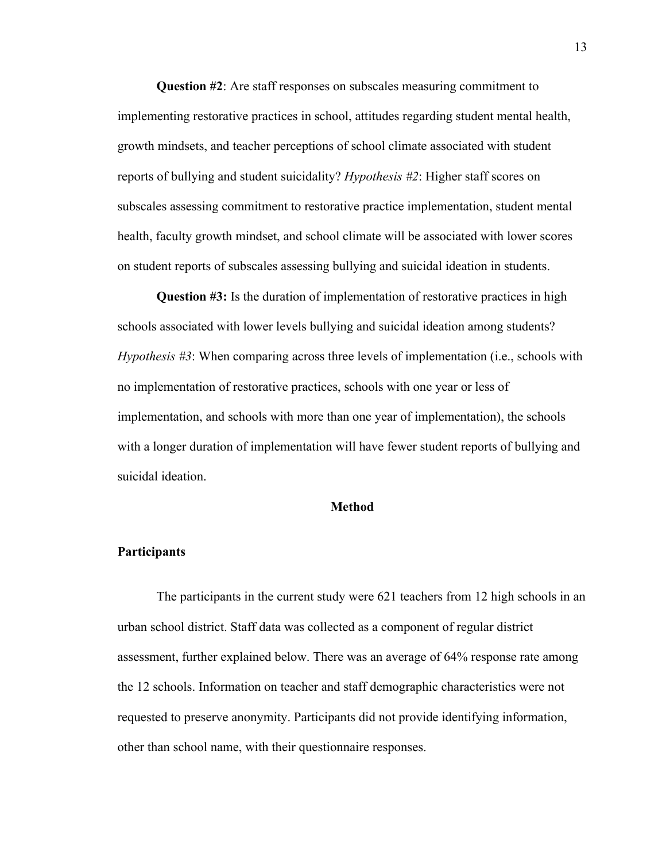**Question #2**: Are staff responses on subscales measuring commitment to implementing restorative practices in school, attitudes regarding student mental health, growth mindsets, and teacher perceptions of school climate associated with student reports of bullying and student suicidality? *Hypothesis #2*: Higher staff scores on subscales assessing commitment to restorative practice implementation, student mental health, faculty growth mindset, and school climate will be associated with lower scores on student reports of subscales assessing bullying and suicidal ideation in students.

**Question #3:** Is the duration of implementation of restorative practices in high schools associated with lower levels bullying and suicidal ideation among students? *Hypothesis #3*: When comparing across three levels of implementation (i.e., schools with no implementation of restorative practices, schools with one year or less of implementation, and schools with more than one year of implementation), the schools with a longer duration of implementation will have fewer student reports of bullying and suicidal ideation.

#### **Method**

#### **Participants**

The participants in the current study were 621 teachers from 12 high schools in an urban school district. Staff data was collected as a component of regular district assessment, further explained below. There was an average of 64% response rate among the 12 schools. Information on teacher and staff demographic characteristics were not requested to preserve anonymity. Participants did not provide identifying information, other than school name, with their questionnaire responses.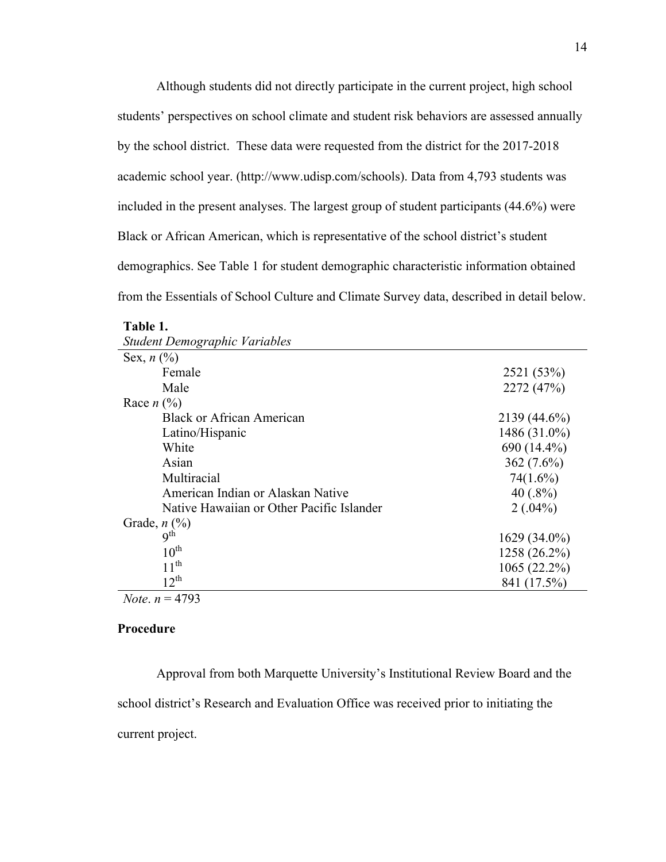Although students did not directly participate in the current project, high school students' perspectives on school climate and student risk behaviors are assessed annually by the school district. These data were requested from the district for the 2017-2018 academic school year. (http://www.udisp.com/schools). Data from 4,793 students was included in the present analyses. The largest group of student participants (44.6%) were Black or African American, which is representative of the school district's student demographics. See Table 1 for student demographic characteristic information obtained from the Essentials of School Culture and Climate Survey data, described in detail below.

|  | anıe |  |
|--|------|--|
|  |      |  |

| Sex, $n$ (%)                              |                |
|-------------------------------------------|----------------|
| Female                                    | 2521 (53%)     |
| Male                                      | 2272 (47%)     |
| Race $n$ (%)                              |                |
| <b>Black or African American</b>          | 2139 (44.6%)   |
| Latino/Hispanic                           | 1486 (31.0%)   |
| White                                     | $690(14.4\%)$  |
| Asian                                     | 362 $(7.6\%)$  |
| Multiracial                               | $74(1.6\%)$    |
| American Indian or Alaskan Native         | 40 $(.8\%)$    |
| Native Hawaiian or Other Pacific Islander | $2(.04\%)$     |
| Grade, $n$ $\left(\frac{9}{6}\right)$     |                |
| 9 <sup>th</sup>                           | $1629(34.0\%)$ |
| $10^{\text{th}}$                          | 1258 (26.2%)   |
| $11^{th}$                                 | $1065(22.2\%)$ |
| $12^{th}$                                 | 841 (17.5%)    |
| <i>Note</i> . $n = 4793$                  |                |

| Student Demographic Variables |  |
|-------------------------------|--|
|                               |  |

## **Procedure**

Approval from both Marquette University's Institutional Review Board and the school district's Research and Evaluation Office was received prior to initiating the current project.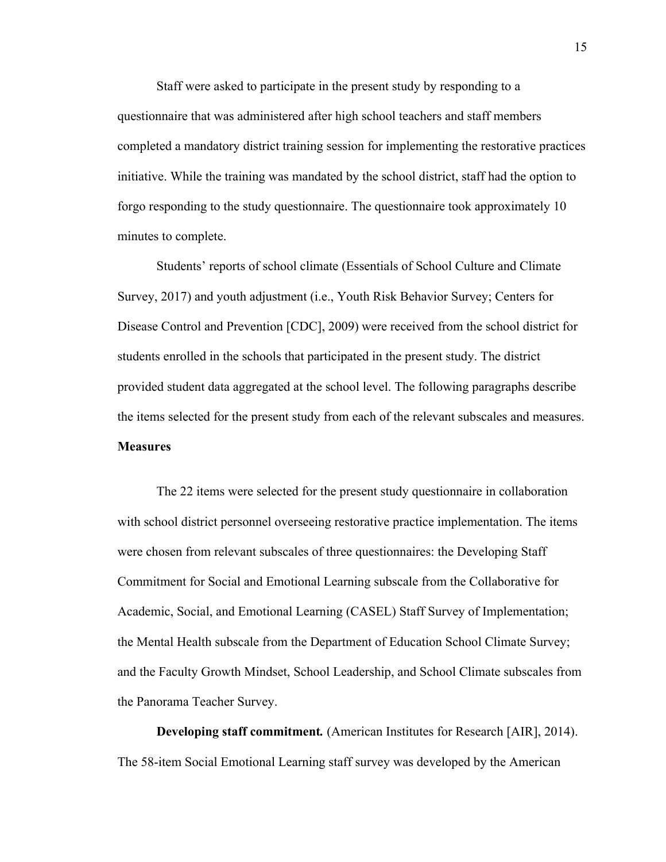Staff were asked to participate in the present study by responding to a questionnaire that was administered after high school teachers and staff members completed a mandatory district training session for implementing the restorative practices initiative. While the training was mandated by the school district, staff had the option to forgo responding to the study questionnaire. The questionnaire took approximately 10 minutes to complete.

Students' reports of school climate (Essentials of School Culture and Climate Survey, 2017) and youth adjustment (i.e., Youth Risk Behavior Survey; Centers for Disease Control and Prevention [CDC], 2009) were received from the school district for students enrolled in the schools that participated in the present study. The district provided student data aggregated at the school level. The following paragraphs describe the items selected for the present study from each of the relevant subscales and measures. **Measures**

The 22 items were selected for the present study questionnaire in collaboration with school district personnel overseeing restorative practice implementation. The items were chosen from relevant subscales of three questionnaires: the Developing Staff Commitment for Social and Emotional Learning subscale from the Collaborative for Academic, Social, and Emotional Learning (CASEL) Staff Survey of Implementation; the Mental Health subscale from the Department of Education School Climate Survey; and the Faculty Growth Mindset, School Leadership, and School Climate subscales from the Panorama Teacher Survey.

**Developing staff commitment***.* (American Institutes for Research [AIR], 2014). The 58-item Social Emotional Learning staff survey was developed by the American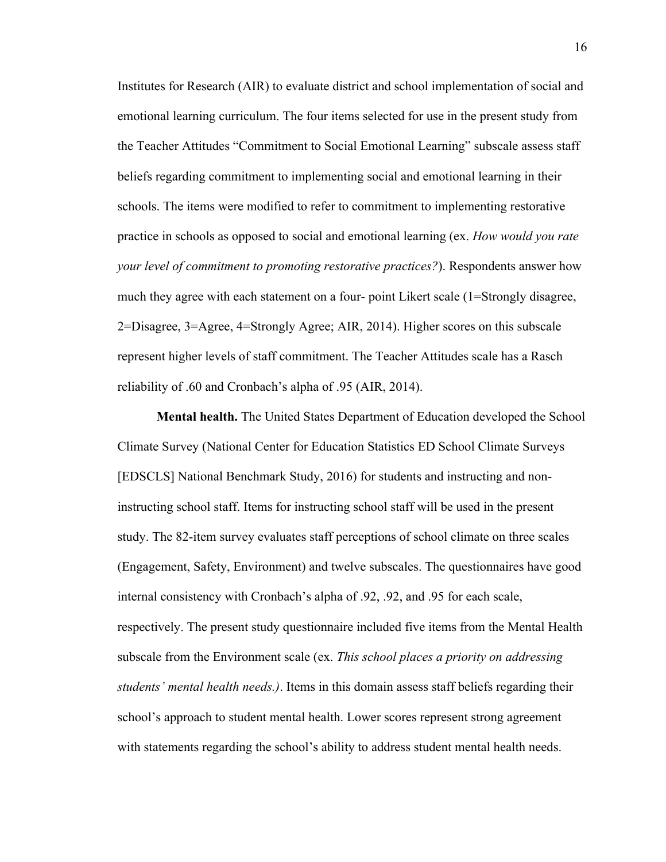Institutes for Research (AIR) to evaluate district and school implementation of social and emotional learning curriculum. The four items selected for use in the present study from the Teacher Attitudes "Commitment to Social Emotional Learning" subscale assess staff beliefs regarding commitment to implementing social and emotional learning in their schools. The items were modified to refer to commitment to implementing restorative practice in schools as opposed to social and emotional learning (ex. *How would you rate your level of commitment to promoting restorative practices?*). Respondents answer how much they agree with each statement on a four- point Likert scale (1=Strongly disagree, 2=Disagree, 3=Agree, 4=Strongly Agree; AIR, 2014). Higher scores on this subscale represent higher levels of staff commitment. The Teacher Attitudes scale has a Rasch reliability of .60 and Cronbach's alpha of .95 (AIR, 2014).

**Mental health.** The United States Department of Education developed the School Climate Survey (National Center for Education Statistics ED School Climate Surveys [EDSCLS] National Benchmark Study, 2016) for students and instructing and noninstructing school staff. Items for instructing school staff will be used in the present study. The 82-item survey evaluates staff perceptions of school climate on three scales (Engagement, Safety, Environment) and twelve subscales. The questionnaires have good internal consistency with Cronbach's alpha of .92, .92, and .95 for each scale, respectively. The present study questionnaire included five items from the Mental Health subscale from the Environment scale (ex. *This school places a priority on addressing students' mental health needs.)*. Items in this domain assess staff beliefs regarding their school's approach to student mental health. Lower scores represent strong agreement with statements regarding the school's ability to address student mental health needs.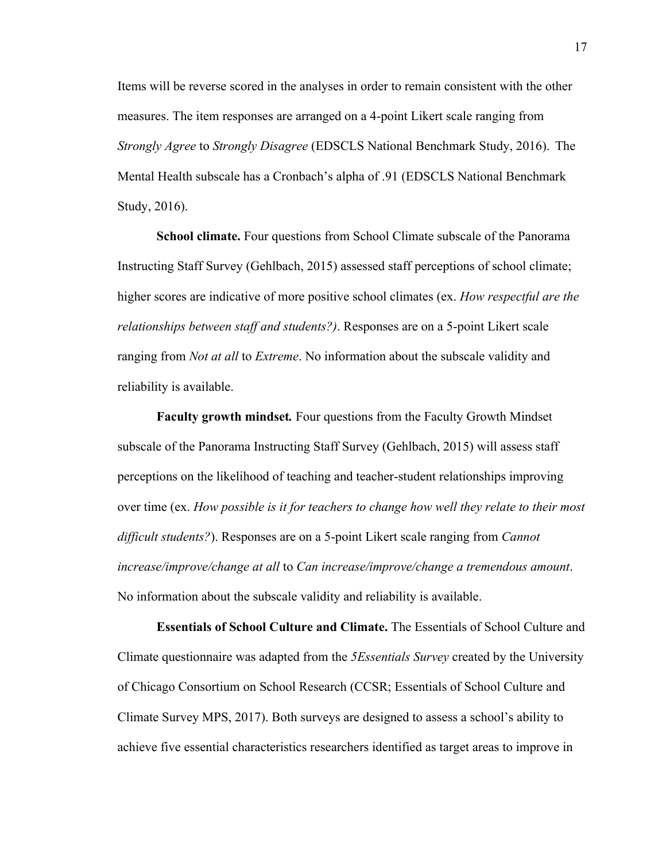Items will be reverse scored in the analyses in order to remain consistent with the other measures. The item responses are arranged on a 4-point Likert scale ranging from *Strongly Agree* to *Strongly Disagree* (EDSCLS National Benchmark Study, 2016). The Mental Health subscale has a Cronbach's alpha of .91 (EDSCLS National Benchmark Study, 2016).

**School climate.** Four questions from School Climate subscale of the Panorama Instructing Staff Survey (Gehlbach, 2015) assessed staff perceptions of school climate; higher scores are indicative of more positive school climates (ex. *How respectful are the relationships between staff and students?)*. Responses are on a 5-point Likert scale ranging from *Not at all* to *Extreme*. No information about the subscale validity and reliability is available.

**Faculty growth mindset***.* Four questions from the Faculty Growth Mindset subscale of the Panorama Instructing Staff Survey (Gehlbach, 2015) will assess staff perceptions on the likelihood of teaching and teacher-student relationships improving over time (ex. *How possible is it for teachers to change how well they relate to their most difficult students?*). Responses are on a 5-point Likert scale ranging from *Cannot increase/improve/change at all* to *Can increase/improve/change a tremendous amount*. No information about the subscale validity and reliability is available.

**Essentials of School Culture and Climate.** The Essentials of School Culture and Climate questionnaire was adapted from the *5Essentials Survey* created by the University of Chicago Consortium on School Research (CCSR; Essentials of School Culture and Climate Survey MPS, 2017). Both surveys are designed to assess a school's ability to achieve five essential characteristics researchers identified as target areas to improve in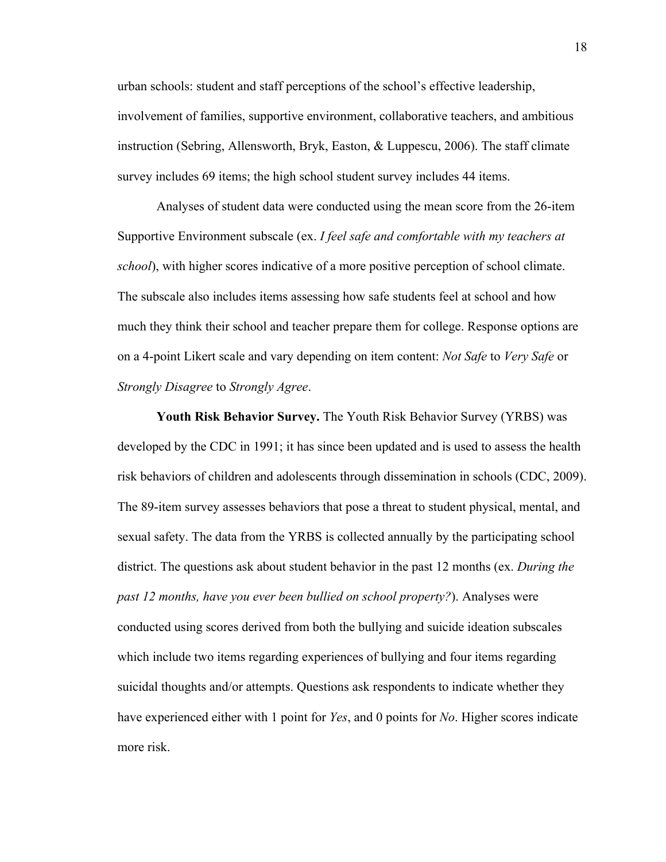urban schools: student and staff perceptions of the school's effective leadership, involvement of families, supportive environment, collaborative teachers, and ambitious instruction (Sebring, Allensworth, Bryk, Easton, & Luppescu, 2006). The staff climate survey includes 69 items; the high school student survey includes 44 items.

Analyses of student data were conducted using the mean score from the 26-item Supportive Environment subscale (ex. *I feel safe and comfortable with my teachers at school*), with higher scores indicative of a more positive perception of school climate. The subscale also includes items assessing how safe students feel at school and how much they think their school and teacher prepare them for college. Response options are on a 4-point Likert scale and vary depending on item content: *Not Safe* to *Very Safe* or *Strongly Disagree* to *Strongly Agree*.

**Youth Risk Behavior Survey.** The Youth Risk Behavior Survey (YRBS) was developed by the CDC in 1991; it has since been updated and is used to assess the health risk behaviors of children and adolescents through dissemination in schools (CDC, 2009). The 89-item survey assesses behaviors that pose a threat to student physical, mental, and sexual safety. The data from the YRBS is collected annually by the participating school district. The questions ask about student behavior in the past 12 months (ex. *During the past 12 months, have you ever been bullied on school property?*). Analyses were conducted using scores derived from both the bullying and suicide ideation subscales which include two items regarding experiences of bullying and four items regarding suicidal thoughts and/or attempts. Questions ask respondents to indicate whether they have experienced either with 1 point for *Yes*, and 0 points for *No*. Higher scores indicate more risk.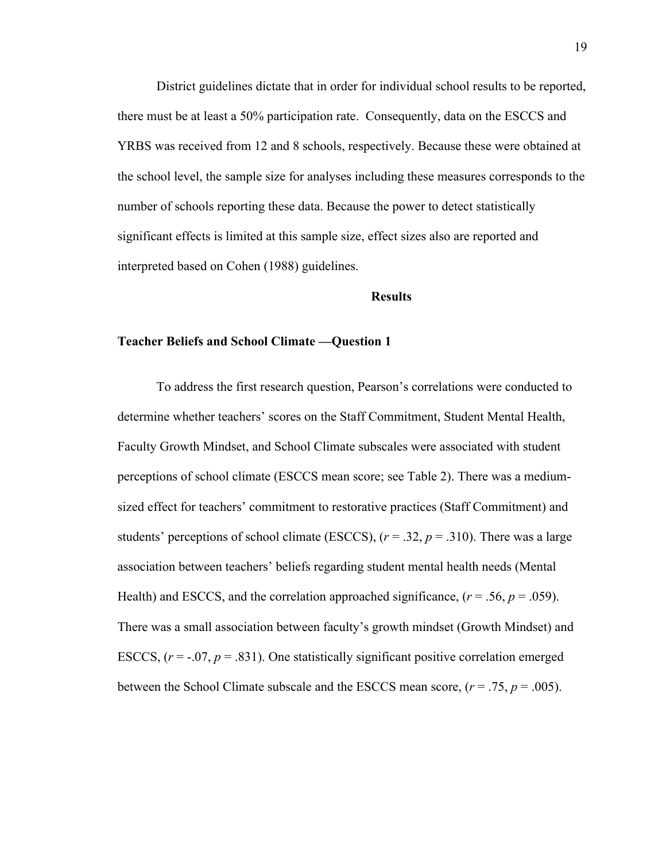District guidelines dictate that in order for individual school results to be reported, there must be at least a 50% participation rate. Consequently, data on the ESCCS and YRBS was received from 12 and 8 schools, respectively. Because these were obtained at the school level, the sample size for analyses including these measures corresponds to the number of schools reporting these data. Because the power to detect statistically significant effects is limited at this sample size, effect sizes also are reported and interpreted based on Cohen (1988) guidelines.

#### **Results**

#### **Teacher Beliefs and School Climate —Question 1**

To address the first research question, Pearson's correlations were conducted to determine whether teachers' scores on the Staff Commitment, Student Mental Health, Faculty Growth Mindset, and School Climate subscales were associated with student perceptions of school climate (ESCCS mean score; see Table 2). There was a mediumsized effect for teachers' commitment to restorative practices (Staff Commitment) and students' perceptions of school climate (ESCCS),  $(r = .32, p = .310)$ . There was a large association between teachers' beliefs regarding student mental health needs (Mental Health) and ESCCS, and the correlation approached significance,  $(r = .56, p = .059)$ . There was a small association between faculty's growth mindset (Growth Mindset) and ESCCS,  $(r = -0.07, p = 0.831)$ . One statistically significant positive correlation emerged between the School Climate subscale and the ESCCS mean score, (*r* = .75, *p* = .005).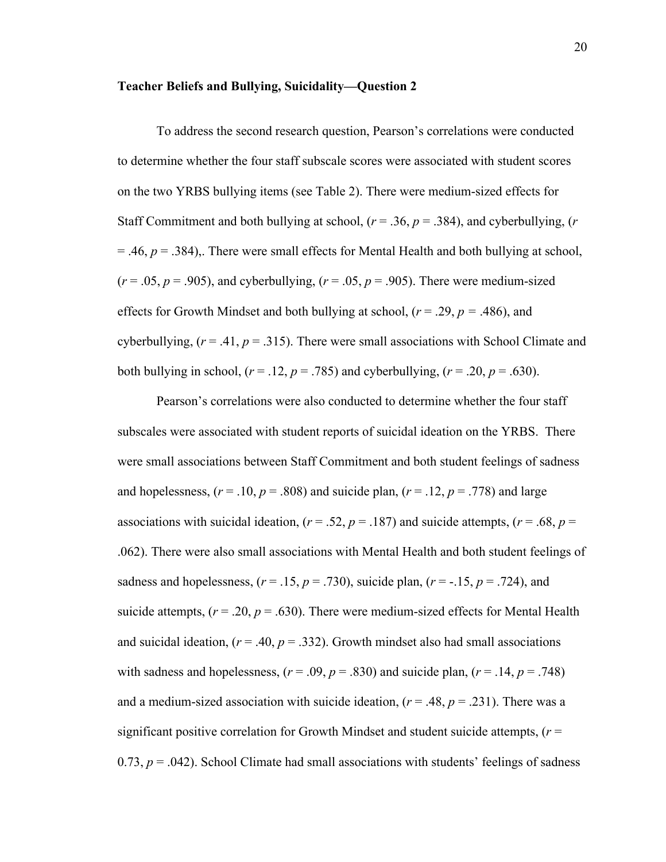#### **Teacher Beliefs and Bullying, Suicidality—Question 2**

To address the second research question, Pearson's correlations were conducted to determine whether the four staff subscale scores were associated with student scores on the two YRBS bullying items (see Table 2). There were medium-sized effects for Staff Commitment and both bullying at school,  $(r = .36, p = .384)$ , and cyberbullying,  $(r = .36, p = .384)$  $=$  .46,  $p = 0.384$ ),. There were small effects for Mental Health and both bullying at school,  $(r = .05, p = .905)$ , and cyberbullying,  $(r = .05, p = .905)$ . There were medium-sized effects for Growth Mindset and both bullying at school, (*r* = .29, *p =* .486), and cyberbullying,  $(r = .41, p = .315)$ . There were small associations with School Climate and both bullying in school,  $(r = .12, p = .785)$  and cyberbullying,  $(r = .20, p = .630)$ .

Pearson's correlations were also conducted to determine whether the four staff subscales were associated with student reports of suicidal ideation on the YRBS. There were small associations between Staff Commitment and both student feelings of sadness and hopelessness,  $(r = .10, p = .808)$  and suicide plan,  $(r = .12, p = .778)$  and large associations with suicidal ideation,  $(r = .52, p = .187)$  and suicide attempts,  $(r = .68, p = .187)$ .062). There were also small associations with Mental Health and both student feelings of sadness and hopelessness,  $(r = .15, p = .730)$ , suicide plan,  $(r = .15, p = .724)$ , and suicide attempts,  $(r = .20, p = .630)$ . There were medium-sized effects for Mental Health and suicidal ideation,  $(r = .40, p = .332)$ . Growth mindset also had small associations with sadness and hopelessness,  $(r = .09, p = .830)$  and suicide plan,  $(r = .14, p = .748)$ and a medium-sized association with suicide ideation,  $(r = .48, p = .231)$ . There was a significant positive correlation for Growth Mindset and student suicide attempts,  $(r =$ 0.73,  $p = .042$ ). School Climate had small associations with students' feelings of sadness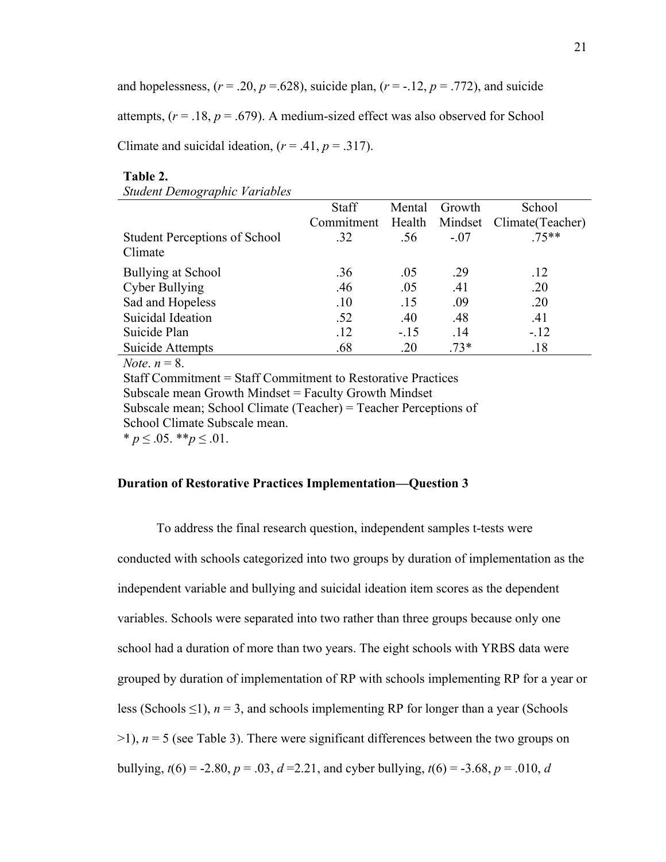and hopelessness,  $(r = .20, p = .628)$ , suicide plan,  $(r = -.12, p = .772)$ , and suicide

attempts,  $(r = .18, p = .679)$ . A medium-sized effect was also observed for School

Climate and suicidal ideation,  $(r = .41, p = .317)$ .

#### **Table 2.**

|                                                                                                                                                                                                                                                                                                                                                                               | <b>Staff</b> | Mental | Growth  | School           |  |
|-------------------------------------------------------------------------------------------------------------------------------------------------------------------------------------------------------------------------------------------------------------------------------------------------------------------------------------------------------------------------------|--------------|--------|---------|------------------|--|
|                                                                                                                                                                                                                                                                                                                                                                               | Commitment   | Health | Mindset | Climate(Teacher) |  |
| <b>Student Perceptions of School</b>                                                                                                                                                                                                                                                                                                                                          | .32          | .56    | $-.07$  | $75**$           |  |
| Climate                                                                                                                                                                                                                                                                                                                                                                       |              |        |         |                  |  |
| <b>Bullying at School</b>                                                                                                                                                                                                                                                                                                                                                     | .36          | .05    | .29     | .12              |  |
| Cyber Bullying                                                                                                                                                                                                                                                                                                                                                                | .46          | .05    | .41     | .20              |  |
| Sad and Hopeless                                                                                                                                                                                                                                                                                                                                                              | .10          | .15    | .09     | .20              |  |
| Suicidal Ideation                                                                                                                                                                                                                                                                                                                                                             | .52          | .40    | .48     | .41              |  |
| Suicide Plan                                                                                                                                                                                                                                                                                                                                                                  | .12          | $-.15$ | .14     | $-.12$           |  |
| Suicide Attempts                                                                                                                                                                                                                                                                                                                                                              | .68          | .20    | $.73*$  | .18              |  |
| <i>Note</i> . $n = 8$ .                                                                                                                                                                                                                                                                                                                                                       |              |        |         |                  |  |
| $\text{C}_{\text{t}}\text{C}_{\text{c}}\text{C}_{\text{c}}$ $\text{C}_{\text{c}}\text{C}_{\text{c}}$ $\text{C}_{\text{c}}\text{C}_{\text{c}}\text{C}_{\text{c}}$ $\text{C}_{\text{c}}\text{C}_{\text{c}}$ $\text{C}_{\text{c}}\text{C}_{\text{c}}$ $\text{C}_{\text{c}}\text{C}_{\text{c}}$ $\text{C}_{\text{c}}\text{C}_{\text{c}}$ $\text{C}_{\text{c}}\text{C}_{\text{c}}$ |              |        |         |                  |  |

Commitment = Staff Commitment to Restorative Practices Subscale mean Growth Mindset = Faculty Growth Mindset Subscale mean; School Climate (Teacher) = Teacher Perceptions of School Climate Subscale mean. \*  $p \leq 0.05$ . \*\* $p \leq 0.01$ .

#### **Duration of Restorative Practices Implementation—Question 3**

To address the final research question, independent samples t-tests were conducted with schools categorized into two groups by duration of implementation as the independent variable and bullying and suicidal ideation item scores as the dependent variables. Schools were separated into two rather than three groups because only one school had a duration of more than two years. The eight schools with YRBS data were grouped by duration of implementation of RP with schools implementing RP for a year or less (Schools  $\leq$ 1),  $n = 3$ , and schools implementing RP for longer than a year (Schools  $>1$ ),  $n = 5$  (see Table 3). There were significant differences between the two groups on bullying,  $t(6) = -2.80$ ,  $p = .03$ ,  $d = 2.21$ , and cyber bullying,  $t(6) = -3.68$ ,  $p = .010$ , *d*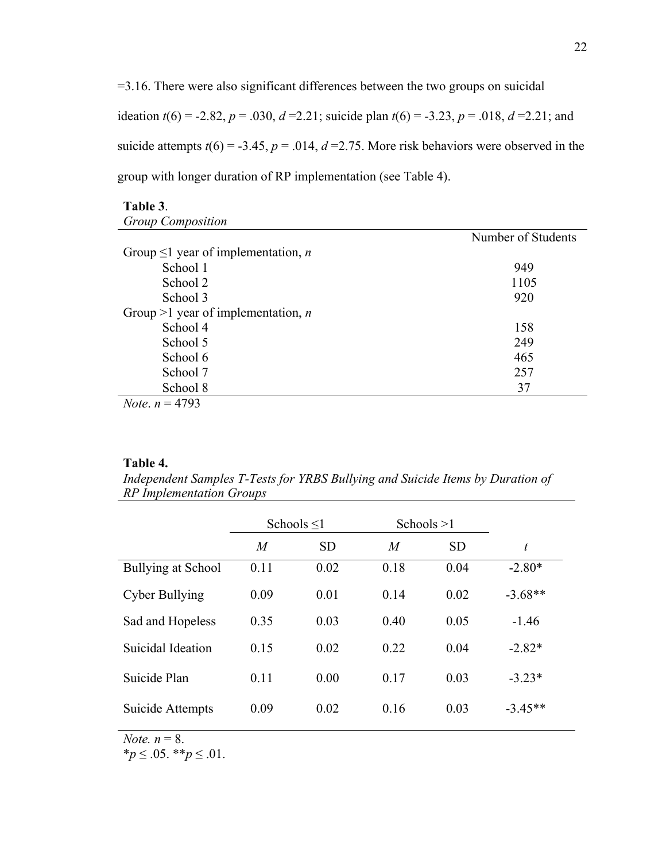=3.16. There were also significant differences between the two groups on suicidal ideation  $t(6) = -2.82$ ,  $p = .030$ ,  $d = 2.21$ ; suicide plan  $t(6) = -3.23$ ,  $p = .018$ ,  $d = 2.21$ ; and suicide attempts  $t(6) = -3.45$ ,  $p = .014$ ,  $d = 2.75$ . More risk behaviors were observed in the group with longer duration of RP implementation (see Table 4).

## **Table 3**. *Group Composition*

|                                                 | Number of Students |
|-------------------------------------------------|--------------------|
| Group $\leq 1$ year of implementation, <i>n</i> |                    |
| School 1                                        | 949                |
| School 2                                        | 1105               |
| School 3                                        | 920                |
| Group >1 year of implementation, <i>n</i>       |                    |
| School 4                                        | 158                |
| School 5                                        | 249                |
| School 6                                        | 465                |
| School 7                                        | 257                |
| School 8                                        | 37                 |
| $N_{\alpha}$ $n = 4703$                         |                    |

*Note*.  $n = 4793$ 

#### **Table 4.**

*Independent Samples T-Tests for YRBS Bullying and Suicide Items by Duration of RP Implementation Groups*

|                    | Schools $\leq$ 1 |           | Schools $>1$   |           |           |  |
|--------------------|------------------|-----------|----------------|-----------|-----------|--|
|                    | $\overline{M}$   | <b>SD</b> | $\overline{M}$ | <b>SD</b> | t         |  |
| Bullying at School | 0.11             | 0.02      | 0.18           | 0.04      | $-2.80*$  |  |
| Cyber Bullying     | 0.09             | 0.01      | 0.14           | 0.02      | $-3.68**$ |  |
| Sad and Hopeless   | 0.35             | 0.03      | 0.40           | 0.05      | $-1.46$   |  |
| Suicidal Ideation  | 0.15             | 0.02      | 0.22           | 0.04      | $-2.82*$  |  |
| Suicide Plan       | 0.11             | 0.00      | 0.17           | 0.03      | $-3.23*$  |  |
| Suicide Attempts   | 0.09             | 0.02      | 0.16           | 0.03      | $-3.45**$ |  |

*Note.*  $n = 8$ .

\**p* ≤ .05. \*\**p* ≤ .01.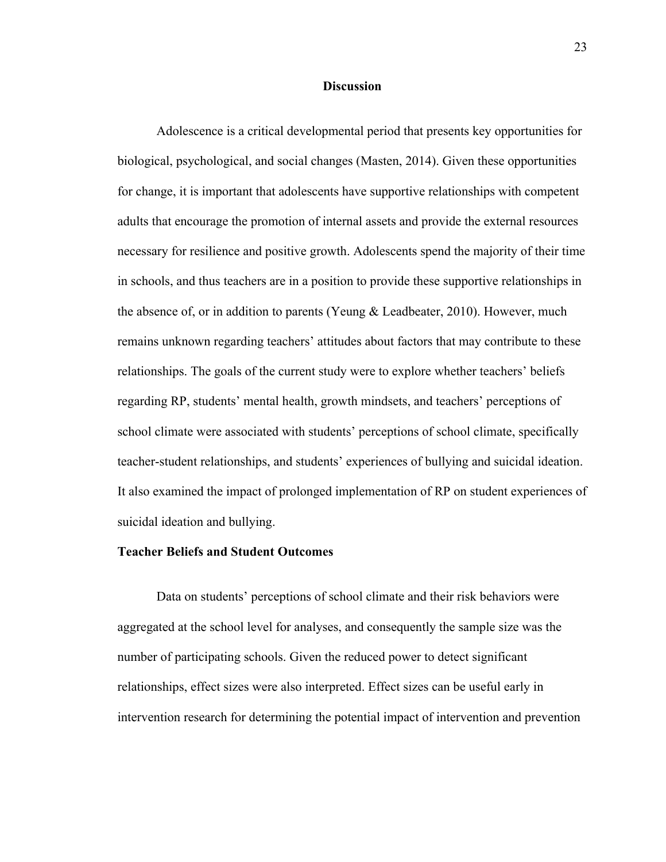#### **Discussion**

Adolescence is a critical developmental period that presents key opportunities for biological, psychological, and social changes (Masten, 2014). Given these opportunities for change, it is important that adolescents have supportive relationships with competent adults that encourage the promotion of internal assets and provide the external resources necessary for resilience and positive growth. Adolescents spend the majority of their time in schools, and thus teachers are in a position to provide these supportive relationships in the absence of, or in addition to parents (Yeung & Leadbeater, 2010). However, much remains unknown regarding teachers' attitudes about factors that may contribute to these relationships. The goals of the current study were to explore whether teachers' beliefs regarding RP, students' mental health, growth mindsets, and teachers' perceptions of school climate were associated with students' perceptions of school climate, specifically teacher-student relationships, and students' experiences of bullying and suicidal ideation. It also examined the impact of prolonged implementation of RP on student experiences of suicidal ideation and bullying.

#### **Teacher Beliefs and Student Outcomes**

Data on students' perceptions of school climate and their risk behaviors were aggregated at the school level for analyses, and consequently the sample size was the number of participating schools. Given the reduced power to detect significant relationships, effect sizes were also interpreted. Effect sizes can be useful early in intervention research for determining the potential impact of intervention and prevention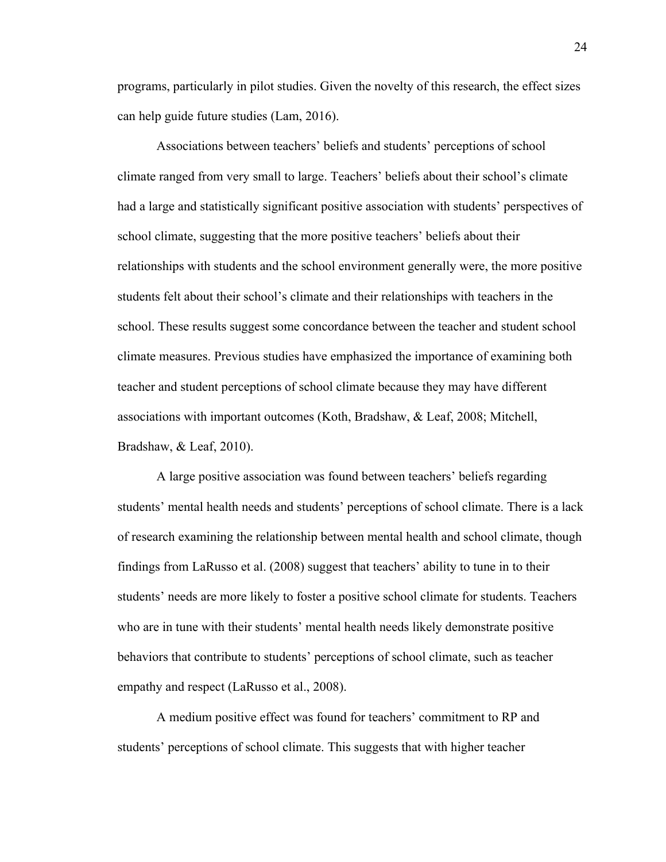programs, particularly in pilot studies. Given the novelty of this research, the effect sizes can help guide future studies (Lam, 2016).

Associations between teachers' beliefs and students' perceptions of school climate ranged from very small to large. Teachers' beliefs about their school's climate had a large and statistically significant positive association with students' perspectives of school climate, suggesting that the more positive teachers' beliefs about their relationships with students and the school environment generally were, the more positive students felt about their school's climate and their relationships with teachers in the school. These results suggest some concordance between the teacher and student school climate measures. Previous studies have emphasized the importance of examining both teacher and student perceptions of school climate because they may have different associations with important outcomes (Koth, Bradshaw, & Leaf, 2008; Mitchell, Bradshaw, & Leaf, 2010).

A large positive association was found between teachers' beliefs regarding students' mental health needs and students' perceptions of school climate. There is a lack of research examining the relationship between mental health and school climate, though findings from LaRusso et al. (2008) suggest that teachers' ability to tune in to their students' needs are more likely to foster a positive school climate for students. Teachers who are in tune with their students' mental health needs likely demonstrate positive behaviors that contribute to students' perceptions of school climate, such as teacher empathy and respect (LaRusso et al., 2008).

A medium positive effect was found for teachers' commitment to RP and students' perceptions of school climate. This suggests that with higher teacher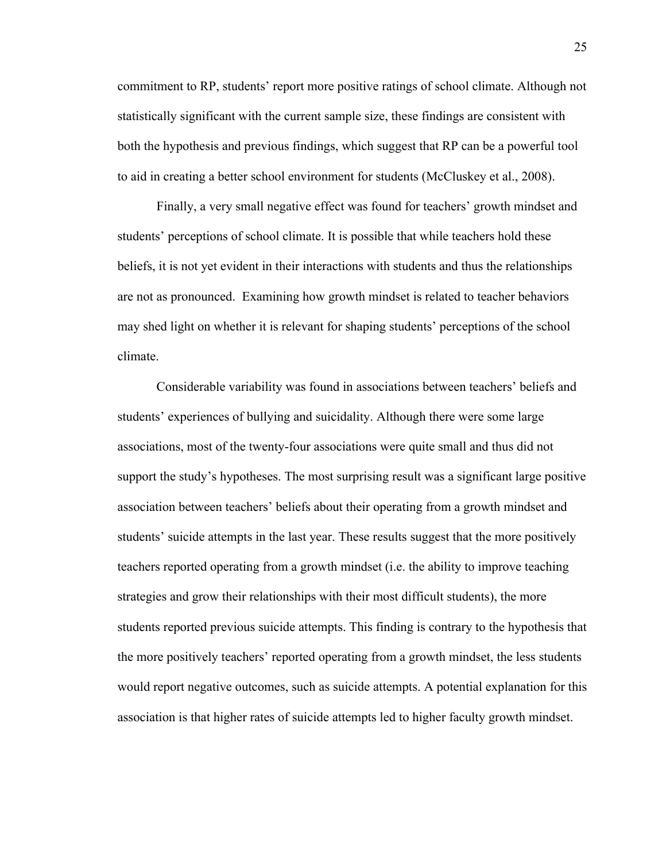commitment to RP, students' report more positive ratings of school climate. Although not statistically significant with the current sample size, these findings are consistent with both the hypothesis and previous findings, which suggest that RP can be a powerful tool to aid in creating a better school environment for students (McCluskey et al., 2008).

Finally, a very small negative effect was found for teachers' growth mindset and students' perceptions of school climate. It is possible that while teachers hold these beliefs, it is not yet evident in their interactions with students and thus the relationships are not as pronounced. Examining how growth mindset is related to teacher behaviors may shed light on whether it is relevant for shaping students' perceptions of the school climate.

Considerable variability was found in associations between teachers' beliefs and students' experiences of bullying and suicidality. Although there were some large associations, most of the twenty-four associations were quite small and thus did not support the study's hypotheses. The most surprising result was a significant large positive association between teachers' beliefs about their operating from a growth mindset and students' suicide attempts in the last year. These results suggest that the more positively teachers reported operating from a growth mindset (i.e. the ability to improve teaching strategies and grow their relationships with their most difficult students), the more students reported previous suicide attempts. This finding is contrary to the hypothesis that the more positively teachers' reported operating from a growth mindset, the less students would report negative outcomes, such as suicide attempts. A potential explanation for this association is that higher rates of suicide attempts led to higher faculty growth mindset.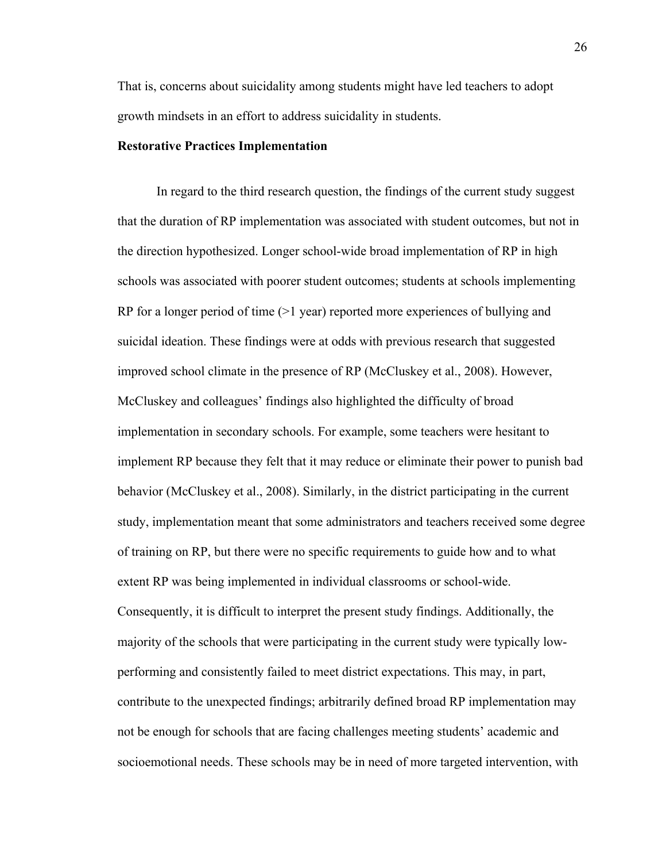That is, concerns about suicidality among students might have led teachers to adopt growth mindsets in an effort to address suicidality in students.

#### **Restorative Practices Implementation**

In regard to the third research question, the findings of the current study suggest that the duration of RP implementation was associated with student outcomes, but not in the direction hypothesized. Longer school-wide broad implementation of RP in high schools was associated with poorer student outcomes; students at schools implementing RP for a longer period of time (>1 year) reported more experiences of bullying and suicidal ideation. These findings were at odds with previous research that suggested improved school climate in the presence of RP (McCluskey et al., 2008). However, McCluskey and colleagues' findings also highlighted the difficulty of broad implementation in secondary schools. For example, some teachers were hesitant to implement RP because they felt that it may reduce or eliminate their power to punish bad behavior (McCluskey et al., 2008). Similarly, in the district participating in the current study, implementation meant that some administrators and teachers received some degree of training on RP, but there were no specific requirements to guide how and to what extent RP was being implemented in individual classrooms or school-wide. Consequently, it is difficult to interpret the present study findings. Additionally, the majority of the schools that were participating in the current study were typically lowperforming and consistently failed to meet district expectations. This may, in part, contribute to the unexpected findings; arbitrarily defined broad RP implementation may not be enough for schools that are facing challenges meeting students' academic and socioemotional needs. These schools may be in need of more targeted intervention, with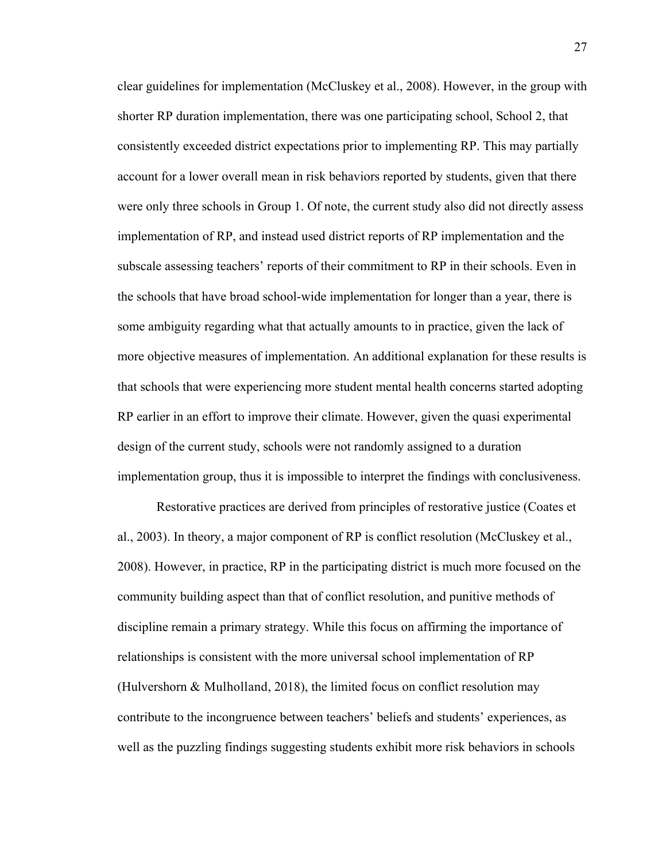clear guidelines for implementation (McCluskey et al., 2008). However, in the group with shorter RP duration implementation, there was one participating school, School 2, that consistently exceeded district expectations prior to implementing RP. This may partially account for a lower overall mean in risk behaviors reported by students, given that there were only three schools in Group 1. Of note, the current study also did not directly assess implementation of RP, and instead used district reports of RP implementation and the subscale assessing teachers' reports of their commitment to RP in their schools. Even in the schools that have broad school-wide implementation for longer than a year, there is some ambiguity regarding what that actually amounts to in practice, given the lack of more objective measures of implementation. An additional explanation for these results is that schools that were experiencing more student mental health concerns started adopting RP earlier in an effort to improve their climate. However, given the quasi experimental design of the current study, schools were not randomly assigned to a duration implementation group, thus it is impossible to interpret the findings with conclusiveness.

Restorative practices are derived from principles of restorative justice (Coates et al., 2003). In theory, a major component of RP is conflict resolution (McCluskey et al., 2008). However, in practice, RP in the participating district is much more focused on the community building aspect than that of conflict resolution, and punitive methods of discipline remain a primary strategy. While this focus on affirming the importance of relationships is consistent with the more universal school implementation of RP (Hulvershorn & Mulholland, 2018), the limited focus on conflict resolution may contribute to the incongruence between teachers' beliefs and students' experiences, as well as the puzzling findings suggesting students exhibit more risk behaviors in schools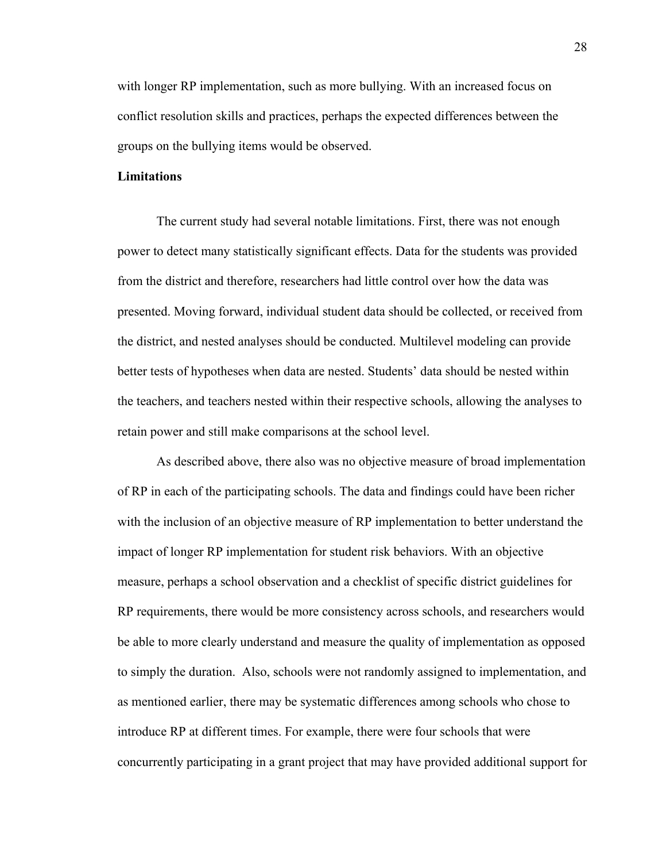with longer RP implementation, such as more bullying. With an increased focus on conflict resolution skills and practices, perhaps the expected differences between the groups on the bullying items would be observed.

#### **Limitations**

The current study had several notable limitations. First, there was not enough power to detect many statistically significant effects. Data for the students was provided from the district and therefore, researchers had little control over how the data was presented. Moving forward, individual student data should be collected, or received from the district, and nested analyses should be conducted. Multilevel modeling can provide better tests of hypotheses when data are nested. Students' data should be nested within the teachers, and teachers nested within their respective schools, allowing the analyses to retain power and still make comparisons at the school level.

As described above, there also was no objective measure of broad implementation of RP in each of the participating schools. The data and findings could have been richer with the inclusion of an objective measure of RP implementation to better understand the impact of longer RP implementation for student risk behaviors. With an objective measure, perhaps a school observation and a checklist of specific district guidelines for RP requirements, there would be more consistency across schools, and researchers would be able to more clearly understand and measure the quality of implementation as opposed to simply the duration. Also, schools were not randomly assigned to implementation, and as mentioned earlier, there may be systematic differences among schools who chose to introduce RP at different times. For example, there were four schools that were concurrently participating in a grant project that may have provided additional support for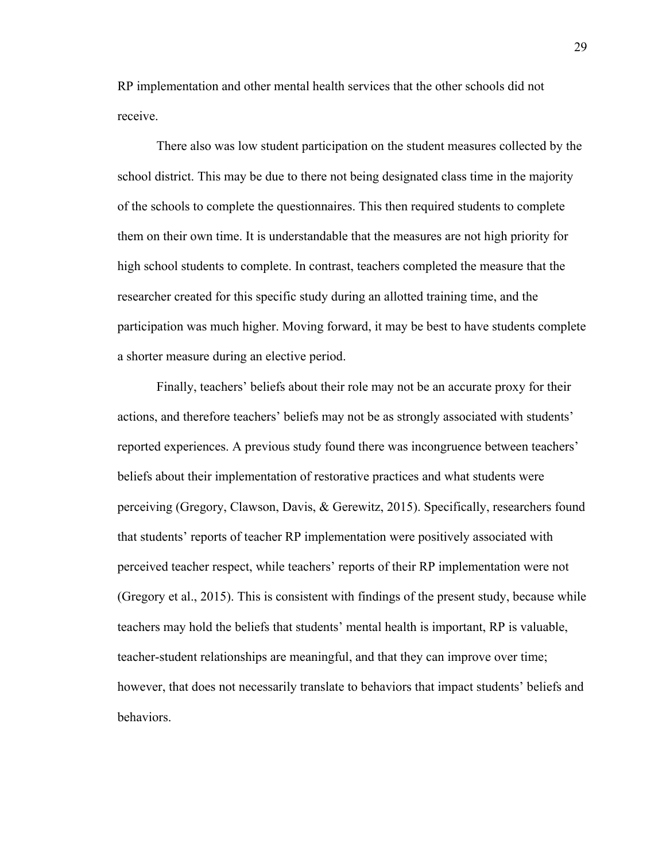RP implementation and other mental health services that the other schools did not receive.

There also was low student participation on the student measures collected by the school district. This may be due to there not being designated class time in the majority of the schools to complete the questionnaires. This then required students to complete them on their own time. It is understandable that the measures are not high priority for high school students to complete. In contrast, teachers completed the measure that the researcher created for this specific study during an allotted training time, and the participation was much higher. Moving forward, it may be best to have students complete a shorter measure during an elective period.

Finally, teachers' beliefs about their role may not be an accurate proxy for their actions, and therefore teachers' beliefs may not be as strongly associated with students' reported experiences. A previous study found there was incongruence between teachers' beliefs about their implementation of restorative practices and what students were perceiving (Gregory, Clawson, Davis, & Gerewitz, 2015). Specifically, researchers found that students' reports of teacher RP implementation were positively associated with perceived teacher respect, while teachers' reports of their RP implementation were not (Gregory et al., 2015). This is consistent with findings of the present study, because while teachers may hold the beliefs that students' mental health is important, RP is valuable, teacher-student relationships are meaningful, and that they can improve over time; however, that does not necessarily translate to behaviors that impact students' beliefs and behaviors.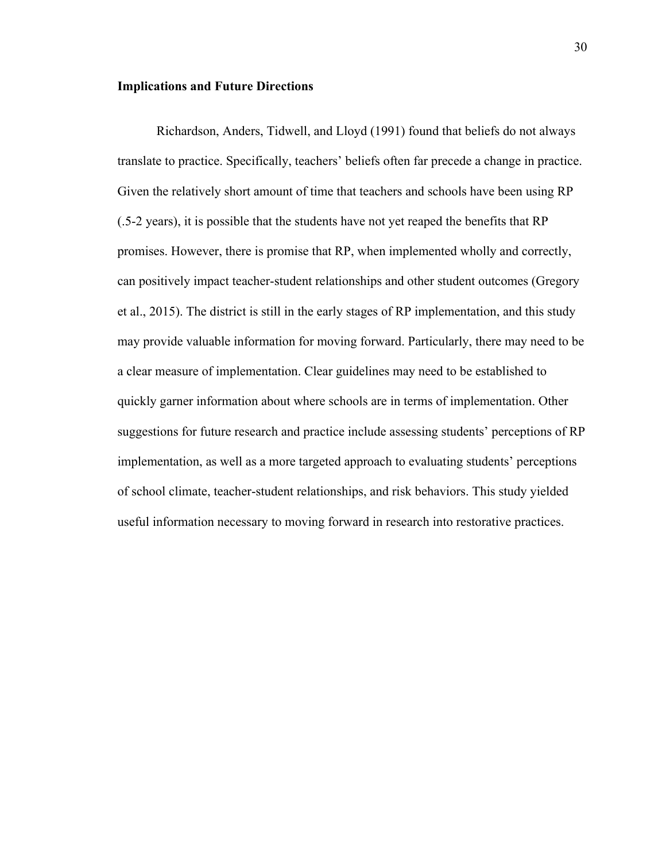#### **Implications and Future Directions**

Richardson, Anders, Tidwell, and Lloyd (1991) found that beliefs do not always translate to practice. Specifically, teachers' beliefs often far precede a change in practice. Given the relatively short amount of time that teachers and schools have been using RP (.5-2 years), it is possible that the students have not yet reaped the benefits that RP promises. However, there is promise that RP, when implemented wholly and correctly, can positively impact teacher-student relationships and other student outcomes (Gregory et al., 2015). The district is still in the early stages of RP implementation, and this study may provide valuable information for moving forward. Particularly, there may need to be a clear measure of implementation. Clear guidelines may need to be established to quickly garner information about where schools are in terms of implementation. Other suggestions for future research and practice include assessing students' perceptions of RP implementation, as well as a more targeted approach to evaluating students' perceptions of school climate, teacher-student relationships, and risk behaviors. This study yielded useful information necessary to moving forward in research into restorative practices.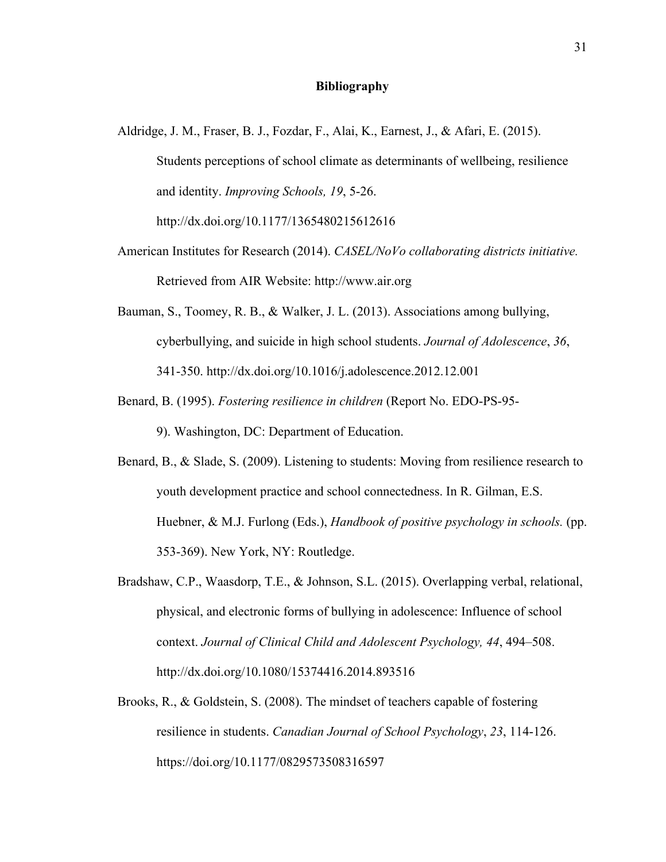#### **Bibliography**

- Aldridge, J. M., Fraser, B. J., Fozdar, F., Alai, K., Earnest, J., & Afari, E. (2015). Students perceptions of school climate as determinants of wellbeing, resilience and identity. *Improving Schools, 19*, 5-26. http://dx.doi.org/10.1177/1365480215612616
- American Institutes for Research (2014). *CASEL/NoVo collaborating districts initiative.* Retrieved from AIR Website: http://www.air.org
- Bauman, S., Toomey, R. B., & Walker, J. L. (2013). Associations among bullying, cyberbullying, and suicide in high school students. *Journal of Adolescence*, *36*, 341-350. http://dx.doi.org/10.1016/j.adolescence.2012.12.001
- Benard, B. (1995). *Fostering resilience in children* (Report No. EDO-PS-95- 9). Washington, DC: Department of Education.
- Benard, B., & Slade, S. (2009). Listening to students: Moving from resilience research to youth development practice and school connectedness. In R. Gilman, E.S. Huebner, & M.J. Furlong (Eds.), *Handbook of positive psychology in schools.* (pp. 353-369). New York, NY: Routledge.
- Bradshaw, C.P., Waasdorp, T.E., & Johnson, S.L. (2015). Overlapping verbal, relational, physical, and electronic forms of bullying in adolescence: Influence of school context. *Journal of Clinical Child and Adolescent Psychology, 44*, 494–508. http://dx.doi.org/10.1080/15374416.2014.893516
- Brooks, R., & Goldstein, S. (2008). The mindset of teachers capable of fostering resilience in students. *Canadian Journal of School Psychology*, *23*, 114-126. https://doi.org/10.1177/0829573508316597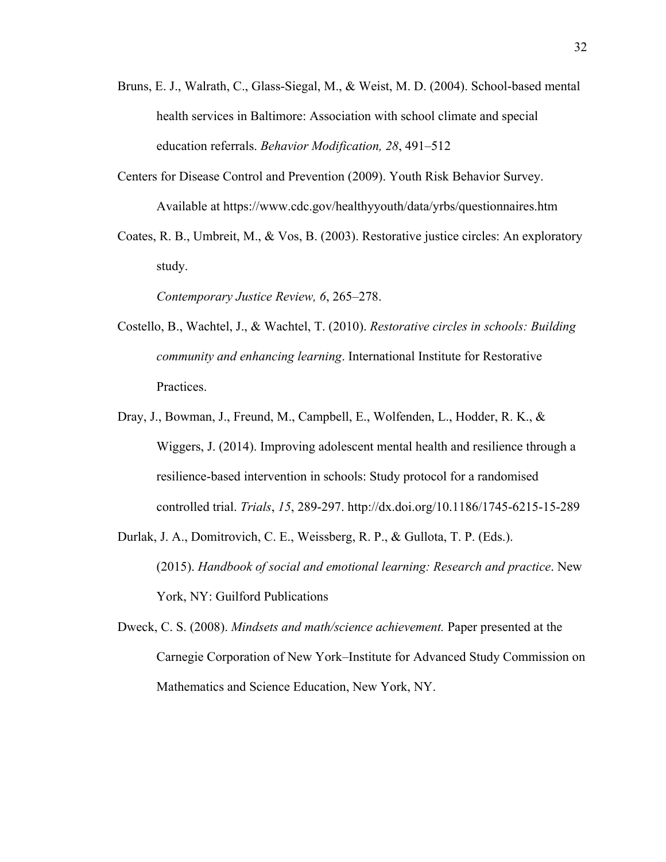- Bruns, E. J., Walrath, C., Glass-Siegal, M., & Weist, M. D. (2004). School-based mental health services in Baltimore: Association with school climate and special education referrals. *Behavior Modification, 28*, 491–512
- Centers for Disease Control and Prevention (2009). Youth Risk Behavior Survey. Available at https://www.cdc.gov/healthyyouth/data/yrbs/questionnaires.htm
- Coates, R. B., Umbreit, M., & Vos, B. (2003). Restorative justice circles: An exploratory study.

*Contemporary Justice Review, 6*, 265–278.

- Costello, B., Wachtel, J., & Wachtel, T. (2010). *Restorative circles in schools: Building community and enhancing learning*. International Institute for Restorative Practices.
- Dray, J., Bowman, J., Freund, M., Campbell, E., Wolfenden, L., Hodder, R. K., & Wiggers, J. (2014). Improving adolescent mental health and resilience through a resilience-based intervention in schools: Study protocol for a randomised controlled trial. *Trials*, *15*, 289-297. http://dx.doi.org/10.1186/1745-6215-15-289
- Durlak, J. A., Domitrovich, C. E., Weissberg, R. P., & Gullota, T. P. (Eds.). (2015). *Handbook of social and emotional learning: Research and practice*. New York, NY: Guilford Publications
- Dweck, C. S. (2008). *Mindsets and math/science achievement.* Paper presented at the Carnegie Corporation of New York–Institute for Advanced Study Commission on Mathematics and Science Education, New York, NY.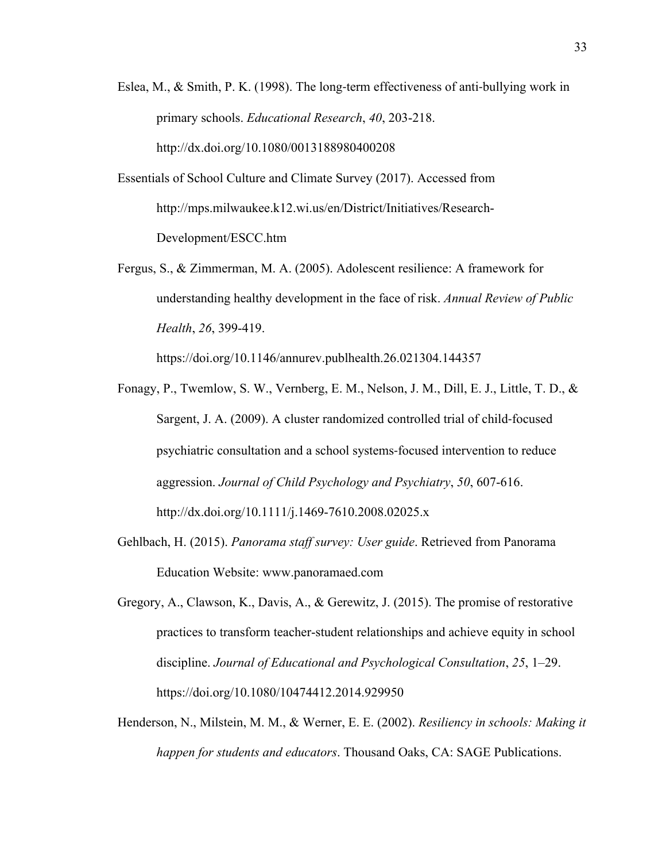- Eslea, M., & Smith, P. K. (1998). The long-term effectiveness of anti-bullying work in primary schools. *Educational Research*, *40*, 203-218. http://dx.doi.org/10.1080/0013188980400208
- Essentials of School Culture and Climate Survey (2017). Accessed from http://mps.milwaukee.k12.wi.us/en/District/Initiatives/Research-Development/ESCC.htm
- Fergus, S., & Zimmerman, M. A. (2005). Adolescent resilience: A framework for understanding healthy development in the face of risk. *Annual Review of Public Health*, *26*, 399-419.

https://doi.org/10.1146/annurev.publhealth.26.021304.144357

- Fonagy, P., Twemlow, S. W., Vernberg, E. M., Nelson, J. M., Dill, E. J., Little, T. D., & Sargent, J. A. (2009). A cluster randomized controlled trial of child-focused psychiatric consultation and a school systems-focused intervention to reduce aggression. *Journal of Child Psychology and Psychiatry*, *50*, 607-616. http://dx.doi.org/10.1111/j.1469-7610.2008.02025.x
- Gehlbach, H. (2015). *Panorama staff survey: User guide*. Retrieved from Panorama Education Website: www.panoramaed.com
- Gregory, A., Clawson, K., Davis, A., & Gerewitz, J. (2015). The promise of restorative practices to transform teacher-student relationships and achieve equity in school discipline. *Journal of Educational and Psychological Consultation*, *25*, 1–29. https://doi.org/10.1080/10474412.2014.929950
- Henderson, N., Milstein, M. M., & Werner, E. E. (2002). *Resiliency in schools: Making it happen for students and educators*. Thousand Oaks, CA: SAGE Publications.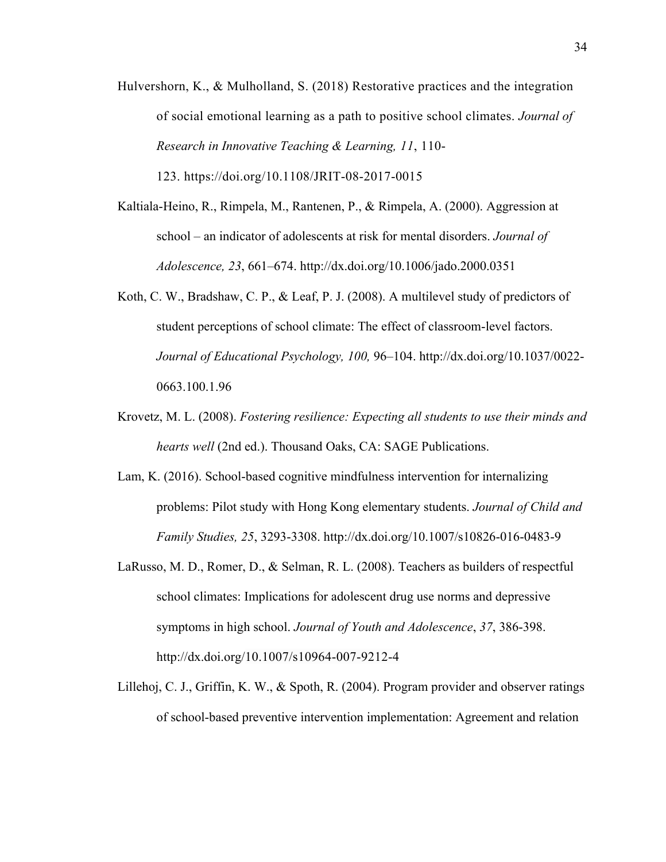Hulvershorn, K., & Mulholland, S. (2018) Restorative practices and the integration of social emotional learning as a path to positive school climates. *Journal of Research in Innovative Teaching & Learning, 11*, 110-

123. https://doi.org/10.1108/JRIT-08-2017-0015

- Kaltiala-Heino, R., Rimpela, M., Rantenen, P., & Rimpela, A. (2000). Aggression at school – an indicator of adolescents at risk for mental disorders. *Journal of Adolescence, 23*, 661–674. http://dx.doi.org/10.1006/jado.2000.0351
- Koth, C. W., Bradshaw, C. P., & Leaf, P. J. (2008). A multilevel study of predictors of student perceptions of school climate: The effect of classroom-level factors. *Journal of Educational Psychology, 100,* 96–104. http://dx.doi.org/10.1037/0022- 0663.100.1.96
- Krovetz, M. L. (2008). *Fostering resilience: Expecting all students to use their minds and hearts well* (2nd ed.). Thousand Oaks, CA: SAGE Publications.
- Lam, K. (2016). School-based cognitive mindfulness intervention for internalizing problems: Pilot study with Hong Kong elementary students. *Journal of Child and Family Studies, 25*, 3293-3308. http://dx.doi.org/10.1007/s10826-016-0483-9
- LaRusso, M. D., Romer, D., & Selman, R. L. (2008). Teachers as builders of respectful school climates: Implications for adolescent drug use norms and depressive symptoms in high school. *Journal of Youth and Adolescence*, *37*, 386-398. http://dx.doi.org/10.1007/s10964-007-9212-4
- Lillehoj, C. J., Griffin, K. W., & Spoth, R. (2004). Program provider and observer ratings of school-based preventive intervention implementation: Agreement and relation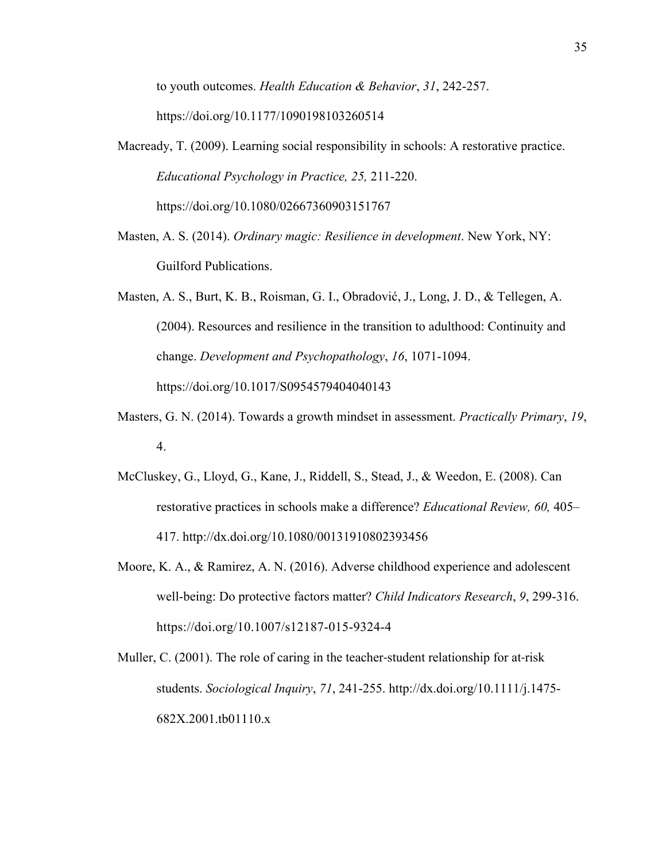to youth outcomes. *Health Education & Behavior*, *31*, 242-257. https://doi.org/10.1177/1090198103260514

- Macready, T. (2009). Learning social responsibility in schools: A restorative practice. *Educational Psychology in Practice, 25,* 211-220. https://doi.org/10.1080/02667360903151767
- Masten, A. S. (2014). *Ordinary magic: Resilience in development*. New York, NY: Guilford Publications.

Masten, A. S., Burt, K. B., Roisman, G. I., Obradović, J., Long, J. D., & Tellegen, A. (2004). Resources and resilience in the transition to adulthood: Continuity and change. *Development and Psychopathology*, *16*, 1071-1094. https://doi.org/10.1017/S0954579404040143

- Masters, G. N. (2014). Towards a growth mindset in assessment. *Practically Primary*, *19*, 4.
- McCluskey, G., Lloyd, G., Kane, J., Riddell, S., Stead, J., & Weedon, E. (2008). Can restorative practices in schools make a difference? *Educational Review, 60,* 405– 417. http://dx.doi.org/10.1080/00131910802393456
- Moore, K. A., & Ramirez, A. N. (2016). Adverse childhood experience and adolescent well-being: Do protective factors matter? *Child Indicators Research*, *9*, 299-316. https://doi.org/10.1007/s12187-015-9324-4
- Muller, C. (2001). The role of caring in the teacher-student relationship for at-risk students. *Sociological Inquiry*, *71*, 241-255. http://dx.doi.org/10.1111/j.1475- 682X.2001.tb01110.x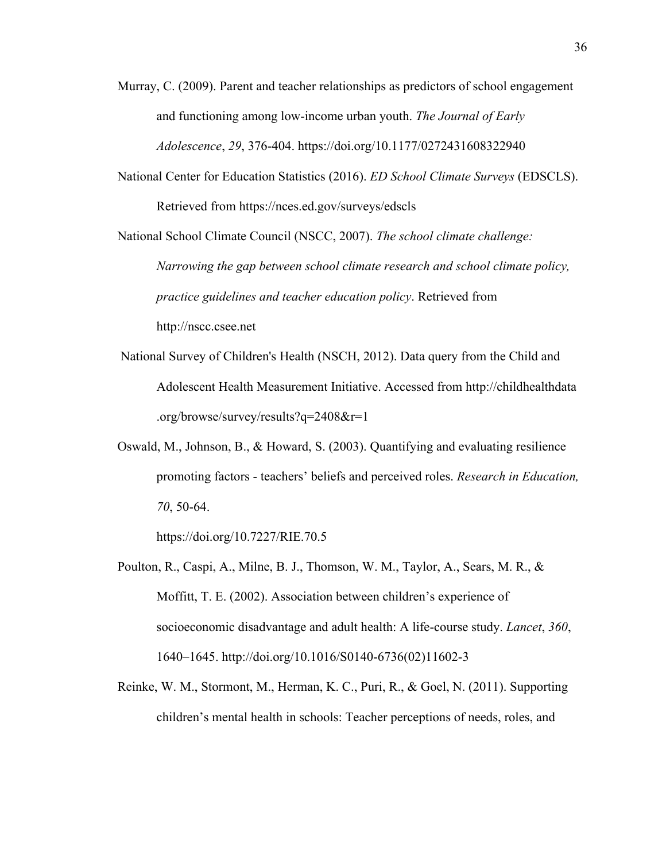- Murray, C. (2009). Parent and teacher relationships as predictors of school engagement and functioning among low-income urban youth. *The Journal of Early Adolescence*, *29*, 376-404. https://doi.org/10.1177/0272431608322940
- National Center for Education Statistics (2016). *ED School Climate Surveys* (EDSCLS). Retrieved from https://nces.ed.gov/surveys/edscls

National School Climate Council (NSCC, 2007). *The school climate challenge: Narrowing the gap between school climate research and school climate policy, practice guidelines and teacher education policy*. Retrieved from http://nscc.csee.net

- National Survey of Children's Health (NSCH, 2012). Data query from the Child and Adolescent Health Measurement Initiative. Accessed from http://childhealthdata .org/browse/survey/results?q=2408&r=1
- Oswald, M., Johnson, B., & Howard, S. (2003). Quantifying and evaluating resilience promoting factors - teachers' beliefs and perceived roles. *Research in Education, 70*, 50-64.

https://doi.org/10.7227/RIE.70.5

- Poulton, R., Caspi, A., Milne, B. J., Thomson, W. M., Taylor, A., Sears, M. R., & Moffitt, T. E. (2002). Association between children's experience of socioeconomic disadvantage and adult health: A life-course study. *Lancet*, *360*, 1640–1645. http://doi.org/10.1016/S0140-6736(02)11602-3
- Reinke, W. M., Stormont, M., Herman, K. C., Puri, R., & Goel, N. (2011). Supporting children's mental health in schools: Teacher perceptions of needs, roles, and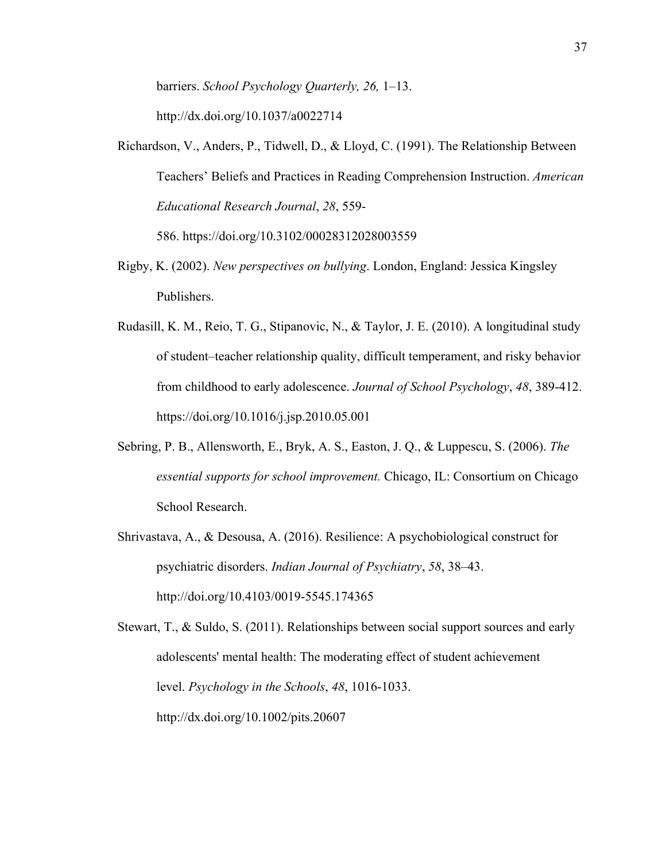barriers. *School Psychology Quarterly, 26,* 1–13. http://dx.doi.org/10.1037/a0022714

Richardson, V., Anders, P., Tidwell, D., & Lloyd, C. (1991). The Relationship Between Teachers' Beliefs and Practices in Reading Comprehension Instruction. *American Educational Research Journal*, *28*, 559-

586. https://doi.org/10.3102/00028312028003559

- Rigby, K. (2002). *New perspectives on bullying*. London, England: Jessica Kingsley Publishers.
- Rudasill, K. M., Reio, T. G., Stipanovic, N., & Taylor, J. E. (2010). A longitudinal study of student–teacher relationship quality, difficult temperament, and risky behavior from childhood to early adolescence. *Journal of School Psychology*, *48*, 389-412. https://doi.org/10.1016/j.jsp.2010.05.001
- Sebring, P. B., Allensworth, E., Bryk, A. S., Easton, J. Q., & Luppescu, S. (2006). *The essential supports for school improvement.* Chicago, IL: Consortium on Chicago School Research.
- Shrivastava, A., & Desousa, A. (2016). Resilience: A psychobiological construct for psychiatric disorders. *Indian Journal of Psychiatry*, *58*, 38–43. http://doi.org/10.4103/0019-5545.174365

Stewart, T., & Suldo, S. (2011). Relationships between social support sources and early adolescents' mental health: The moderating effect of student achievement level. *Psychology in the Schools*, *48*, 1016-1033. http://dx.doi.org/10.1002/pits.20607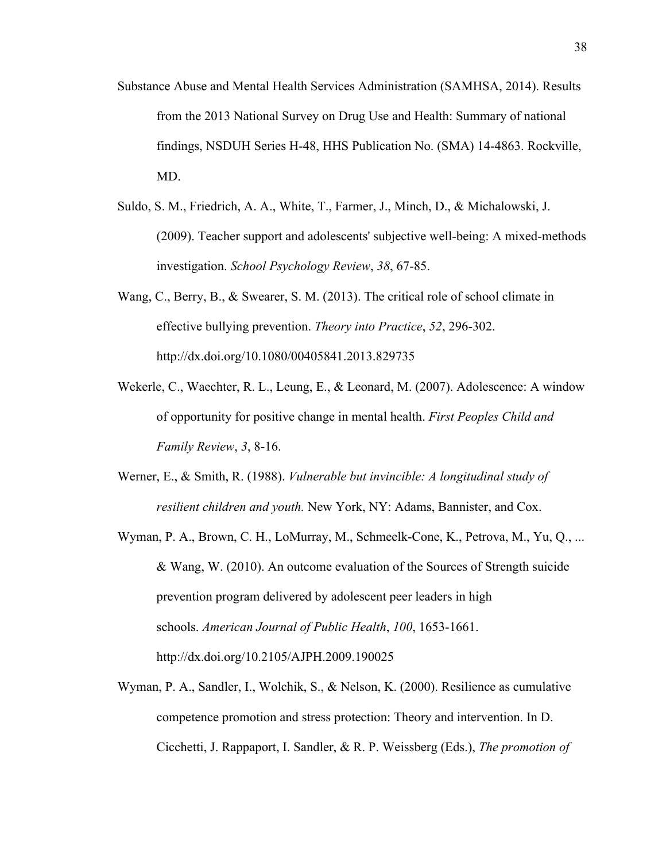- Substance Abuse and Mental Health Services Administration (SAMHSA, 2014). Results from the 2013 National Survey on Drug Use and Health: Summary of national findings, NSDUH Series H-48, HHS Publication No. (SMA) 14-4863. Rockville, MD.
- Suldo, S. M., Friedrich, A. A., White, T., Farmer, J., Minch, D., & Michalowski, J. (2009). Teacher support and adolescents' subjective well-being: A mixed-methods investigation. *School Psychology Review*, *38*, 67-85.
- Wang, C., Berry, B., & Swearer, S. M. (2013). The critical role of school climate in effective bullying prevention. *Theory into Practice*, *52*, 296-302. http://dx.doi.org/10.1080/00405841.2013.829735
- Wekerle, C., Waechter, R. L., Leung, E., & Leonard, M. (2007). Adolescence: A window of opportunity for positive change in mental health. *First Peoples Child and Family Review*, *3*, 8-16.
- Werner, E., & Smith, R. (1988). *Vulnerable but invincible: A longitudinal study of resilient children and youth.* New York, NY: Adams, Bannister, and Cox.
- Wyman, P. A., Brown, C. H., LoMurray, M., Schmeelk-Cone, K., Petrova, M., Yu, Q., ... & Wang, W. (2010). An outcome evaluation of the Sources of Strength suicide prevention program delivered by adolescent peer leaders in high schools. *American Journal of Public Health*, *100*, 1653-1661. http://dx.doi.org/10.2105/AJPH.2009.190025
- Wyman, P. A., Sandler, I., Wolchik, S., & Nelson, K. (2000). Resilience as cumulative competence promotion and stress protection: Theory and intervention. In D. Cicchetti, J. Rappaport, I. Sandler, & R. P. Weissberg (Eds.), *The promotion of*